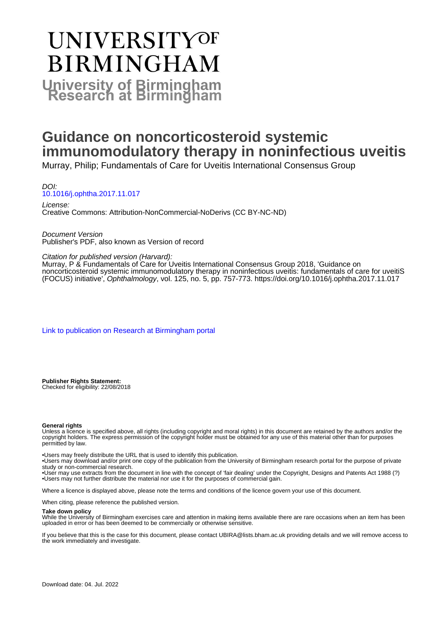# **UNIVERSITYOF BIRMINGHAM University of Birmingham**

# **Guidance on noncorticosteroid systemic immunomodulatory therapy in noninfectious uveitis**

Murray, Philip; Fundamentals of Care for Uveitis International Consensus Group

DOI: [10.1016/j.ophtha.2017.11.017](https://doi.org/10.1016/j.ophtha.2017.11.017)

License: Creative Commons: Attribution-NonCommercial-NoDerivs (CC BY-NC-ND)

Document Version Publisher's PDF, also known as Version of record

#### Citation for published version (Harvard):

Murray, P & Fundamentals of Care for Uveitis International Consensus Group 2018, 'Guidance on noncorticosteroid systemic immunomodulatory therapy in noninfectious uveitis: fundamentals of care for uveitiS (FOCUS) initiative', Ophthalmology, vol. 125, no. 5, pp. 757-773.<https://doi.org/10.1016/j.ophtha.2017.11.017>

[Link to publication on Research at Birmingham portal](https://birmingham.elsevierpure.com/en/publications/60179790-8d87-47a2-a0a7-1ce493c3143a)

**Publisher Rights Statement:** Checked for eligibility: 22/08/2018

#### **General rights**

Unless a licence is specified above, all rights (including copyright and moral rights) in this document are retained by the authors and/or the copyright holders. The express permission of the copyright holder must be obtained for any use of this material other than for purposes permitted by law.

• Users may freely distribute the URL that is used to identify this publication.

• Users may download and/or print one copy of the publication from the University of Birmingham research portal for the purpose of private study or non-commercial research.

• User may use extracts from the document in line with the concept of 'fair dealing' under the Copyright, Designs and Patents Act 1988 (?) • Users may not further distribute the material nor use it for the purposes of commercial gain.

Where a licence is displayed above, please note the terms and conditions of the licence govern your use of this document.

When citing, please reference the published version.

#### **Take down policy**

While the University of Birmingham exercises care and attention in making items available there are rare occasions when an item has been uploaded in error or has been deemed to be commercially or otherwise sensitive.

If you believe that this is the case for this document, please contact UBIRA@lists.bham.ac.uk providing details and we will remove access to the work immediately and investigate.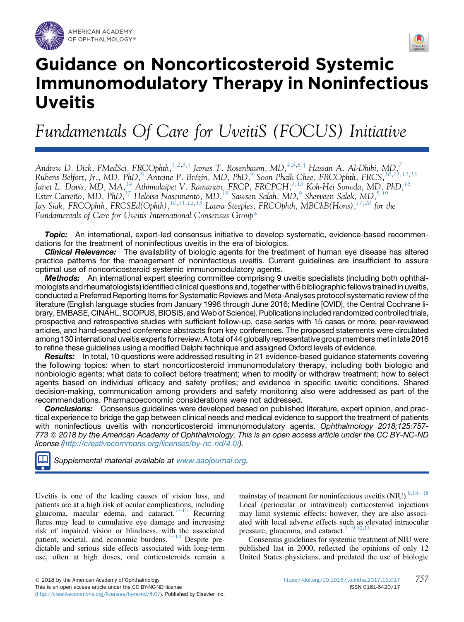



# Guidance on Noncorticosteroid Systemic Immunomodulatory Therapy in Noninfectious Uveitis

Fundamentals Of Care for UveitiS (FOCUS) Initiative

Andrew D. Dick, FMedSci, FRCOphth,<sup>[1,2](#page-16-0),[3](#page-16-0),†</sup> James T. Rosenbaum, MD,<sup>[4,5,6](#page-16-0),†</sup> Hassan A. Al-Dhibi, MD,<sup>[7](#page-16-0)</sup> Rubens Belfort, Jr., MD, PhD,<sup>8</sup> Antoine P. Brézin, MD, PhD,<sup>[9](#page-16-0)</sup> Soon Phaik Chee, FRCOphth, FRCS, <sup>10,11,[12](#page-16-0),[13](#page-16-0)</sup> Janet L. Davis, MD, MA, <sup>[14](#page-16-0)</sup> Athimalaipet V. Ramanan, FRCP, FRCPCH, <sup>1, 15</sup> Koh-Hei Sonoda, MD, PhD, <sup>[16](#page-17-0)</sup> Ester Carreño, MD, PhD,  $^{17}$  Heloisa Nascimento, MD,  $^{18}$  Sawsen Salah, MD,  $^9$  $^9$  Sherveen Salek, MD,  $^{5,19}$  $^{5,19}$  $^{5,19}$  $^{5,19}$ Jay Siak, FRCOphth, FRCSEd(Ophth), <sup>10,11,12,[13](#page-16-0)</sup> Laura Steeples, FRCOphth, MBChB(Hons), <sup>17,20</sup> for the Fundamentals of Care for Uveitis International Consensus Grou[p\\*](#page-17-0)

**Topic:** An international, expert-led consensus initiative to develop systematic, evidence-based recommendations for the treatment of noninfectious uveitis in the era of biologics.

**Clinical Relevance:** The availability of biologic agents for the treatment of human eye disease has altered practice patterns for the management of noninfectious uveitis. Current guidelines are insufficient to assure optimal use of noncorticosteroid systemic immunomodulatory agents.

Methods: An international expert steering committee comprising 9 uveitis specialists (including both ophthalmologists and rheumatologists) identified clinical questions and, together with 6 bibliographicfellows trained in uveitis, conducted a Preferred Reporting Items for Systematic Reviews and Meta-Analyses protocol systematic review of the literature (English language studies from January 1996 through June 2016; Medline [OVID], the Central Cochrane library, EMBASE, CINAHL, SCOPUS, BIOSIS, and Web of Science). Publications included randomized controlled trials, prospective and retrospective studies with sufficient follow-up, case series with 15 cases or more, peer-reviewed articles, and hand-searched conference abstracts from key conferences. The proposed statements were circulated among 130 international uveitis expertsfor review. A total of 44 globally representative group members met in late 2016 to refine these guidelines using a modified Delphi technique and assigned Oxford levels of evidence.

**Results:** In total, 10 questions were addressed resulting in 21 evidence-based guidance statements covering the following topics: when to start noncorticosteroid immunomodulatory therapy, including both biologic and nonbiologic agents; what data to collect before treatment; when to modify or withdraw treatment; how to select agents based on individual efficacy and safety profiles; and evidence in specific uveitic conditions. Shared decision-making, communication among providers and safety monitoring also were addressed as part of the recommendations. Pharmacoeconomic considerations were not addressed.

**Conclusions:** Consensus guidelines were developed based on published literature, expert opinion, and practical experience to bridge the gap between clinical needs and medical evidence to support the treatment of patients with noninfectious uveitis with noncorticosteroid immunomodulatory agents. Ophthalmology 2018;125:757-773 ª 2018 by the American Academy of Ophthalmology. This is an open access article under the CC BY-NC-ND license ([http://creativecommons.org/licenses/by-nc-nd/4.0/\)](http://creativecommons.org/licenses/by-nc-nd/4.0/).

Supplemental material available at [www.aaojournal.org.](www.aaojournal.org)

Uveitis is one of the leading causes of vision loss, and patients are at a high risk of ocular complications, including glaucoma, macular edema, and cataract.<sup>[1](#page-11-0)-[14](#page-11-0)</sup> Recurring flares may lead to cumulative eye damage and increasing risk of impaired vision or blindness, with the associated patient, societal, and economic burdens. $1-14$  $1-14$  $1-14$  Despite predictable and serious side effects associated with long-term use, often at high doses, oral corticosteroids remain a

mainstay of treatment for noninfectious uveitis (NIU).  $8,14-18$  $8,14-18$  $8,14-18$ Local (periocular or intravitreal) corticosteroid injections may limit systemic effects; however, they are also associated with local adverse effects such as elevated intraocular pressure, glaucoma, and cataract.<sup>[7](#page-11-0)-[9,12,13](#page-11-0)</sup>

Consensus guidelines for systemic treatment of NIU were published last in 2000, reflected the opinions of only 12 United States physicians, and predated the use of biologic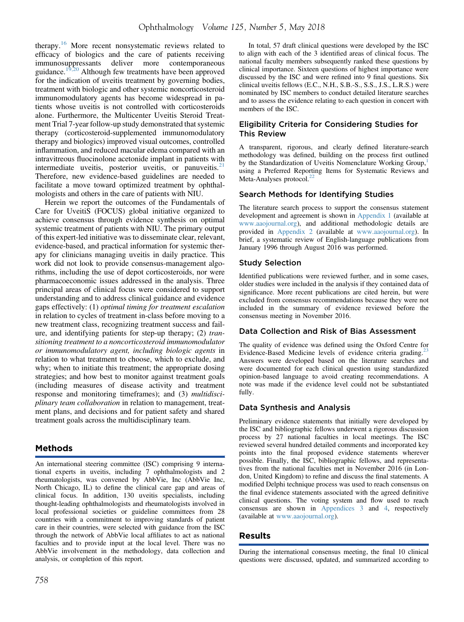therapy.<sup>[16](#page-12-0)</sup> More recent nonsystematic reviews related to efficacy of biologics and the care of patients receiving immunosuppressants deliver more contemporaneous guidance.<sup>[19,20](#page-12-0)</sup> Although few treatments have been approved for the indication of uveitis treatment by governing bodies, treatment with biologic and other systemic noncorticosteroid immunomodulatory agents has become widespread in patients whose uveitis is not controlled with corticosteroids alone. Furthermore, the Multicenter Uveitis Steroid Treatment Trial 7-year follow-up study demonstrated that systemic therapy (corticosteroid-supplemented immunomodulatory therapy and biologics) improved visual outcomes, controlled inflammation, and reduced macular edema compared with an intravitreous fluocinolone acetonide implant in patients with intermediate uveitis, posterior uveitis, or panuveitis. $21$ Therefore, new evidence-based guidelines are needed to facilitate a move toward optimized treatment by ophthalmologists and others in the care of patients with NIU.

Herein we report the outcomes of the Fundamentals of Care for UveitiS (FOCUS) global initiative organized to achieve consensus through evidence synthesis on optimal systemic treatment of patients with NIU. The primary output of this expert-led initiative was to disseminate clear, relevant, evidence-based, and practical information for systemic therapy for clinicians managing uveitis in daily practice. This work did not look to provide consensus-management algorithms, including the use of depot corticosteroids, nor were pharmacoeconomic issues addressed in the analysis. Three principal areas of clinical focus were considered to support understanding and to address clinical guidance and evidence gaps effectively: (1) optimal timing for treatment escalation in relation to cycles of treatment in-class before moving to a new treatment class, recognizing treatment success and failure, and identifying patients for step-up therapy; (2) transitioning treatment to a noncorticosteroid immunomodulator or immunomodulatory agent, including biologic agents in relation to what treatment to choose, which to exclude, and why; when to initiate this treatment; the appropriate dosing strategies; and how best to monitor against treatment goals (including measures of disease activity and treatment response and monitoring timeframes); and (3) multidisciplinary team collaboration in relation to management, treatment plans, and decisions and for patient safety and shared treatment goals across the multidisciplinary team.

# Methods

An international steering committee (ISC) comprising 9 international experts in uveitis, including 7 ophthalmologists and 2 rheumatologists, was convened by AbbVie, Inc (AbbVie Inc, North Chicago, IL) to define the clinical care gap and areas of clinical focus. In addition, 130 uveitis specialists, including thought-leading ophthalmologists and rheumatologists involved in local professional societies or guideline committees from 28 countries with a commitment to improving standards of patient care in their countries, were selected with guidance from the ISC through the network of AbbVie local affiliates to act as national faculties and to provide input at the local level. There was no AbbVie involvement in the methodology, data collection and analysis, or completion of this report.

In total, 57 draft clinical questions were developed by the ISC to align with each of the 3 identified areas of clinical focus. The national faculty members subsequently ranked these questions by clinical importance. Sixteen questions of highest importance were discussed by the ISC and were refined into 9 final questions. Six clinical uveitis fellows (E.C., N.H., S.B.-S., S.S., J.S., L.R.S.) were nominated by ISC members to conduct detailed literature searches and to assess the evidence relating to each question in concert with members of the ISC.

### Eligibility Criteria for Considering Studies for This Review

A transparent, rigorous, and clearly defined literature-search methodology was defined, building on the process first outlined by the Standardization of Uveitis Nomenclature Working Group,<sup>[1](#page-11-0)</sup> using a Preferred Reporting Items for Systematic Reviews and Meta-Analyses protocol.<sup>2</sup>

#### Search Methods for Identifying Studies

The literature search process to support the consensus statement development and agreement is shown in Appendix 1 (available at [www.aaojournal.org\)](http://www.aaojournal.org), and additional methodologic details are provided in Appendix 2 (available at [www.aaojournal.org](http://www.aaojournal.org)). In brief, a systematic review of English-language publications from January 1996 through August 2016 was performed.

#### Study Selection

Identified publications were reviewed further, and in some cases, older studies were included in the analysis if they contained data of significance. More recent publications are cited herein, but were excluded from consensus recommendations because they were not included in the summary of evidence reviewed before the consensus meeting in November 2016.

#### Data Collection and Risk of Bias Assessment

The quality of evidence was defined using the Oxford Centre for Evidence-Based Medicine levels of evidence criteria grading.<sup>2</sup> Answers were developed based on the literature searches and were documented for each clinical question using standardized opinion-based language to avoid creating recommendations. A note was made if the evidence level could not be substantiated fully.

### Data Synthesis and Analysis

Preliminary evidence statements that initially were developed by the ISC and bibliographic fellows underwent a rigorous discussion process by 27 national faculties in local meetings. The ISC reviewed several hundred detailed comments and incorporated key points into the final proposed evidence statements wherever possible. Finally, the ISC, bibliographic fellows, and representatives from the national faculties met in November 2016 (in London, United Kingdom) to refine and discuss the final statements. A modified Delphi technique process was used to reach consensus on the final evidence statements associated with the agreed definitive clinical questions. The voting system and flow used to reach consensus are shown in Appendices 3 and 4, respectively (available at [www.aaojournal.org\)](http://www.aaojournal.org).

### Results

During the international consensus meeting, the final 10 clinical questions were discussed, updated, and summarized according to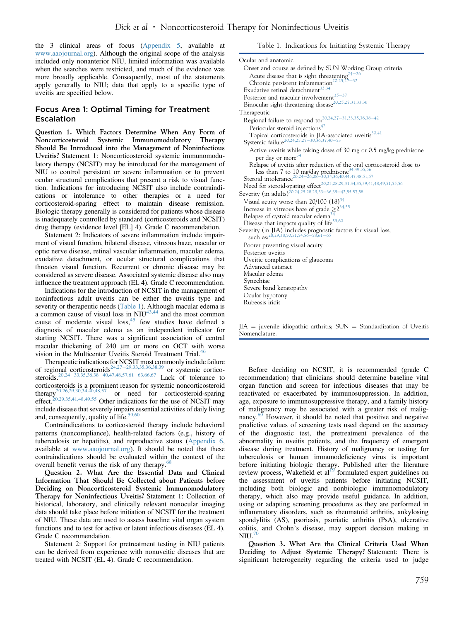the 3 clinical areas of focus (Appendix 5, available at [www.aaojournal.org\)](http://www.aaojournal.org). Although the original scope of the analysis included only nonanterior NIU, limited information was available when the searches were restricted, and much of the evidence was more broadly applicable. Consequently, most of the statements apply generally to NIU; data that apply to a specific type of uveitis are specified below.

#### Focus Area 1: Optimal Timing for Treatment Escalation

Question 1. Which Factors Determine When Any Form of Noncorticosteroid Systemic Immunomodulatory Therapy Should Be Introduced into the Management of Noninfectious Uveitis? Statement 1: Noncorticosteroid systemic immunomodulatory therapy (NCSIT) may be introduced for the management of NIU to control persistent or severe inflammation or to prevent ocular structural complications that present a risk to visual function. Indications for introducing NCSIT also include contraindications or intolerance to other therapies or a need for corticosteroid-sparing effect to maintain disease remission. Biologic therapy generally is considered for patients whose disease is inadequately controlled by standard (corticosteroids and NCSIT) drug therapy (evidence level [EL] 4). Grade C recommendation.

Statement 2: Indicators of severe inflammation include impairment of visual function, bilateral disease, vitreous haze, macular or optic nerve disease, retinal vascular inflammation, macular edema, exudative detachment, or ocular structural complications that threaten visual function. Recurrent or chronic disease may be considered as severe disease. Associated systemic disease also may influence the treatment approach (EL 4). Grade C recommendation.

Indications for the introduction of NCSIT in the management of noninfectious adult uveitis can be either the uveitis type and severity or therapeutic needs (Table 1). Although macular edema is a common cause of visual loss in  $\text{NIU}^{43,44}$  $\text{NIU}^{43,44}$  $\text{NIU}^{43,44}$  and the most common cause of moderate visual loss,<sup>45</sup> few studies have defined a diagnosis of macular edema as an independent indicator for starting NCSIT. There was a significant association of central macular thickening of  $240 \mu m$  or more on OCT with worse vision in the Multicenter Uveitis Steroid Treatment Trial.<sup>[46](#page-13-0)</sup>

Therapeutic indications for NCSIT most commonly include failure of regional corticosteroids<sup>24,27-[29,33,35,36,38,39](#page-12-0)</sup> or systemic cortico-steroids.<sup>20,24–[33,35,36,38](#page-12-0)–[40,47,48,57,61](#page-12-0)–[63,66,67](#page-12-0)</sup> Lack of tolerance to corticosteroids is a prominent reason for systemic noncorticosteroid therap[y20,26,29,30,34,40,48,57](#page-12-0) or need for corticosteroid-sparing effect.<sup>20,29,35,41,48,49,55</sup> Other indications for the use of NCSIT may include disease that severely impairs essential activities of daily living and, consequently, quality of life.<sup>59,60</sup>

Contraindications to corticosteroid therapy include behavioral patterns (noncompliance), health-related factors (e.g., history of tuberculosis or hepatitis), and reproductive status (Appendix 6, available at [www.aaojournal.org](http://www.aaojournal.org)). It should be noted that these contraindications should be evaluated within the context of the overall benefit versus the risk of any therapy.<sup>6</sup>

Question 2. What Are the Essential Data and Clinical Information That Should Be Collected about Patients before Deciding on Noncorticosteroid Systemic Immunomodulatory Therapy for Noninfectious Uveitis? Statement 1: Collection of historical, laboratory, and clinically relevant nonocular imaging data should take place before initiation of NCSIT for the treatment of NIU. These data are used to assess baseline vital organ system functions and to test for active or latent infectious diseases (EL 4). Grade C recommendation.

Statement 2: Support for pretreatment testing in NIU patients can be derived from experience with nonuveitic diseases that are treated with NCSIT (EL 4). Grade C recommendation.

Table 1. Indications for Initiating Systemic Therapy

| Ocular and anatomic                                                                                                                                                                                          |
|--------------------------------------------------------------------------------------------------------------------------------------------------------------------------------------------------------------|
| Onset and course as defined by SUN Working Group criteria                                                                                                                                                    |
| Acute disease that is sight threatening <sup>24-26</sup>                                                                                                                                                     |
| Chronic persistent inflammation <sup>20,25,27-32</sup>                                                                                                                                                       |
| Exudative retinal detachment <sup>33,34</sup>                                                                                                                                                                |
| Posterior and macular involvement <sup>35-37</sup>                                                                                                                                                           |
| Binocular sight-threatening disease <sup>20,25,27,31,33,36</sup>                                                                                                                                             |
| Therapeutic                                                                                                                                                                                                  |
| Regional failure to respond to: <sup>20,24,27-31,33,35,36,38-42</sup>                                                                                                                                        |
| Periocular steroid injections <sup>42</sup>                                                                                                                                                                  |
| Topical corticosteroids in JIA-associated uveitis $30,41$<br>Systemic failure $20,24,25,27-30,36,37,40-53$                                                                                                   |
|                                                                                                                                                                                                              |
| Active uveitis while taking doses of 30 mg or 0.5 mg/kg prednisone                                                                                                                                           |
| per day or more <sup>54</sup>                                                                                                                                                                                |
| Relapse of uveitis after reduction of the oral corticosteroid dose to<br>less than 7 to 10 mg/day prednisone <sup>34,49,55,56</sup><br>Steroid intolerance <sup>20,24—26,28–30,34,36,40,44,47,48,51,57</sup> |
|                                                                                                                                                                                                              |
|                                                                                                                                                                                                              |
| Need for steroid-sparing effect <sup>20,25,28,29,31,34,35,39,41,48,49,51,55,56</sup><br>Severity (in adults) <sup>20,24,25,28,29,33–36,39–42,55,57,58</sup>                                                  |
|                                                                                                                                                                                                              |
| Visual acuity worse than $20/100$ $(18)^{34}$                                                                                                                                                                |
| Increase in vitreous haze of grade $\geq 2^{34,55}$                                                                                                                                                          |
| Relapse of cystoid macular edema <sup>34</sup>                                                                                                                                                               |
| Disease that impacts quality of life <sup>59,60</sup>                                                                                                                                                        |
| Severity (in JIA) includes prognostic factors for visual loss,<br>such as: $^{28,29,38,50,51,54,56-58,61-65}$                                                                                                |
| Poorer presenting visual acuity                                                                                                                                                                              |
| Posterior uveitis                                                                                                                                                                                            |
| Uveitic complications of glaucoma                                                                                                                                                                            |
| Advanced cataract                                                                                                                                                                                            |
| Macular edema                                                                                                                                                                                                |
| Synechiae                                                                                                                                                                                                    |
| Severe band keratopathy                                                                                                                                                                                      |
| Ocular hypotony                                                                                                                                                                                              |
| Rubeosis iridis                                                                                                                                                                                              |
|                                                                                                                                                                                                              |

 $JIA =$  juvenile idiopathic arthritis;  $SUM = Standardization$  of Uveitis Nomenclature.

Before deciding on NCSIT, it is recommended (grade C recommendation) that clinicians should determine baseline vital organ function and screen for infectious diseases that may be reactivated or exacerbated by immunosuppression. In addition, age, exposure to immunosuppressive therapy, and a family history of malignancy may be associated with a greater risk of malignancy.<sup>69</sup> However, it should be noted that positive and negative predictive values of screening tests used depend on the accuracy of the diagnostic test, the pretreatment prevalence of the abnormality in uveitis patients, and the frequency of emergent disease during treatment. History of malignancy or testing for tuberculosis or human immunodeficiency virus is important before initiating biologic therapy. Published after the literature review process, Wakefield et al<sup>[19](#page-12-0)</sup> formulated expert guidelines on the assessment of uveitis patients before initiating NCSIT, including both biologic and nonbiologic immunomodulatory therapy, which also may provide useful guidance. In addition, using or adapting screening procedures as they are performed in inflammatory disorders, such as rheumatoid arthritis, ankylosing spondylitis (AS), psoriasis, psoriatic arthritis (PsA), ulcerative colitis, and Crohn's disease, may support decision making in  $NIII.<sup>7</sup>$ 

Question 3. What Are the Clinical Criteria Used When Deciding to Adjust Systemic Therapy? Statement: There is significant heterogeneity regarding the criteria used to judge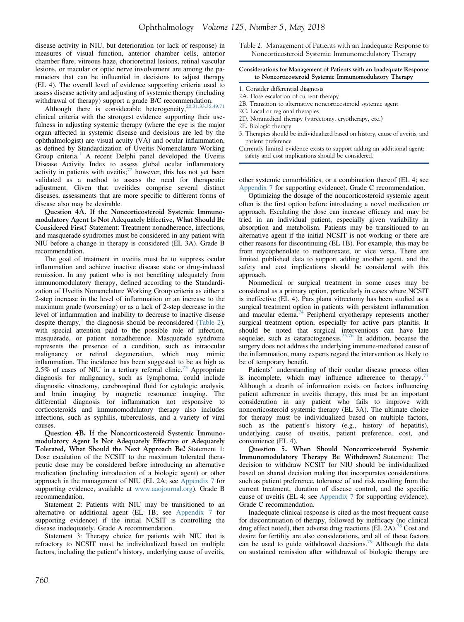disease activity in NIU, but deterioration (or lack of response) in measures of visual function, anterior chamber cells, anterior chamber flare, vitreous haze, chorioretinal lesions, retinal vascular lesions, or macular or optic nerve involvement are among the parameters that can be influential in decisions to adjust therapy (EL 4). The overall level of evidence supporting criteria used to assess disease activity and adjusting of systemic therapy (including assess usease activity and acquiring  $\frac{1}{20}$ . The commendation.<br>withdrawal of therapy) support a grade B/C recommendation.

Although there is considerable heterogeneity,  $^{20,31,33,3}$ clinical criteria with the strongest evidence supporting their usefulness in adjusting systemic therapy (where the eye is the major organ affected in systemic disease and decisions are led by the ophthalmologist) are visual acuity (VA) and ocular inflammation, as defined by Standardization of Uveitis Nomenclature Working Group criteria.<sup>[1](#page-11-0)</sup> A recent Delphi panel developed the Uveitis Disease Activity Index to assess global ocular inflammatory activity in patients with uveitis; $^{72}$  $^{72}$  $^{72}$  however, this has not yet been validated as a method to assess the need for therapeutic adjustment. Given that uveitides comprise several distinct diseases, assessments that are more specific to different forms of disease also may be desirable.

Question 4A. If the Noncorticosteroid Systemic Immunomodulatory Agent Is Not Adequately Effective, What Should Be Considered First? Statement: Treatment nonadherence, infections, and masquerade syndromes must be considered in any patient with NIU before a change in therapy is considered (EL 3A). Grade B recommendation.

The goal of treatment in uveitis must be to suppress ocular inflammation and achieve inactive disease state or drug-induced remission. In any patient who is not benefiting adequately from immunomodulatory therapy, defined according to the Standardization of Uveitis Nomenclature Working Group criteria as either a 2-step increase in the level of inflammation or an increase to the maximum grade (worsening) or as a lack of 2-step decrease in the level of inflammation and inability to decrease to inactive disease despite therapy,<sup>[1](#page-11-0)</sup> the diagnosis should be reconsidered (Table 2), with special attention paid to the possible role of infection, masquerade, or patient nonadherence. Masquerade syndrome represents the presence of a condition, such as intraocular malignancy or retinal degeneration, which may mimic inflammation. The incidence has been suggested to be as high as 2.5% of cases of NIU in a tertiary referral clinic.<sup>[73](#page-13-0)</sup> Appropriate diagnosis for malignancy, such as lymphoma, could include diagnostic vitrectomy, cerebrospinal fluid for cytologic analysis, and brain imaging by magnetic resonance imaging. The differential diagnosis for inflammation not responsive to corticosteroids and immunomodulatory therapy also includes infections, such as syphilis, tuberculosis, and a variety of viral causes.

Question 4B. If the Noncorticosteroid Systemic Immunomodulatory Agent Is Not Adequately Effective or Adequately Tolerated, What Should the Next Approach Be? Statement 1: Dose escalation of the NCSIT to the maximum tolerated therapeutic dose may be considered before introducing an alternative medication (including introduction of a biologic agent) or other approach in the management of NIU (EL 2A; see Appendix 7 for supporting evidence, available at [www.aaojournal.org](http://www.aaojournal.org)). Grade B recommendation.

Statement 2: Patients with NIU may be transitioned to an alternative or additional agent (EL 1B; see Appendix 7 for supporting evidence) if the initial NCSIT is controlling the disease inadequately. Grade A recommendation.

Statement 3: Therapy choice for patients with NIU that is refractory to NCSIT must be individualized based on multiple factors, including the patient's history, underlying cause of uveitis, Table 2. Management of Patients with an Inadequate Response to Noncorticosteroid Systemic Immunomodulatory Therapy

#### Considerations for Management of Patients with an Inadequate Response to Noncorticosteroid Systemic Immunomodulatory Therapy

- 1. Consider differential diagnosis
- 2A. Dose escalation of current therapy
- 2B. Transition to alternative noncorticosteroid systemic agent
- 2C. Local or regional therapies
- 2D. Nonmedical therapy (vitrectomy, cryotherapy, etc.)
- 2E. Biologic therapy
- 3. Therapies should be individualized based on history, cause of uveitis, and patient preference
- Currently limited evidence exists to support adding an additional agent; safety and cost implications should be considered.

other systemic comorbidities, or a combination thereof (EL 4; see Appendix 7 for supporting evidence). Grade C recommendation.

Optimizing the dosage of the noncorticosteroid systemic agent often is the first option before introducing a novel medication or approach. Escalating the dose can increase efficacy and may be tried in an individual patient, especially given variability in absorption and metabolism. Patients may be transitioned to an alternative agent if the initial NCSIT is not working or there are other reasons for discontinuing (EL 1B). For example, this may be from mycophenolate to methotrexate, or vice versa. There are limited published data to support adding another agent, and the safety and cost implications should be considered with this approach.

Nonmedical or surgical treatment in some cases may be considered as a primary option, particularly in cases where NCSIT is ineffective (EL 4). Pars plana vitrectomy has been studied as a surgical treatment option in patients with persistent inflammation and macular edema.[74](#page-13-0) Peripheral cryotherapy represents another surgical treatment option, especially for active pars planitis. It should be noted that surgical interventions can have late sequelae, such as cataractogenesis.<sup>[75,76](#page-13-0)</sup> In addition, because the surgery does not address the underlying immune-mediated cause of the inflammation, many experts regard the intervention as likely to be of temporary benefit.

Patients' understanding of their ocular disease process often is incomplete, which may influence adherence to therapy.<sup>7</sup> Although a dearth of information exists on factors influencing patient adherence in uveitis therapy, this must be an important consideration in any patient who fails to improve with noncorticosteroid systemic therapy (EL 3A). The ultimate choice for therapy must be individualized based on multiple factors, such as the patient's history (e.g., history of hepatitis), underlying cause of uveitis, patient preference, cost, and convenience (EL 4).

Question 5. When Should Noncorticosteroid Systemic Immunomodulatory Therapy Be Withdrawn? Statement: The decision to withdraw NCSIT for NIU should be individualized based on shared decision making that incorporates considerations such as patient preference, tolerance of and risk resulting from the current treatment, duration of disease control, and the specific cause of uveitis (EL 4; see Appendix 7 for supporting evidence). Grade C recommendation.

Inadequate clinical response is cited as the most frequent cause for discontinuation of therapy, followed by inefficacy (no clinical drug effect noted), then adverse drug reactions (EL 2A).<sup>[78](#page-13-0)</sup> Cost and desire for fertility are also considerations, and all of these factors can be used to guide withdrawal decisions.<sup>79</sup> Although the data on sustained remission after withdrawal of biologic therapy are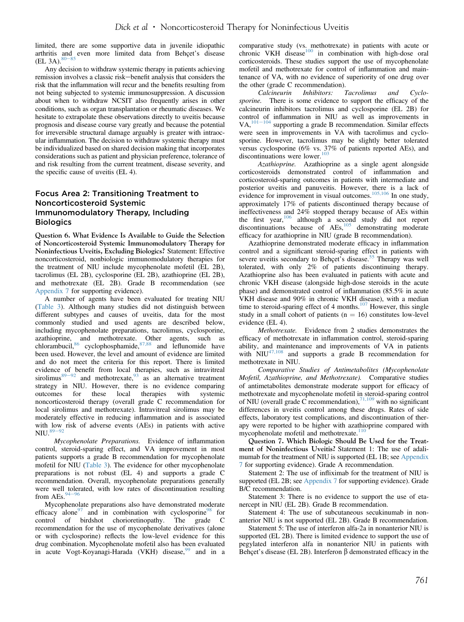limited, there are some supportive data in juvenile idiopathic arthritis and even more limited data from Behçet's disease (EL 3A). $80-85$  $80-85$ 

Any decision to withdraw systemic therapy in patients achieving remission involves a classic risk-benefit analysis that considers the risk that the inflammation will recur and the benefits resulting from not being subjected to systemic immunosuppression. A discussion about when to withdraw NCSIT also frequently arises in other conditions, such as organ transplantation or rheumatic diseases. We hesitate to extrapolate these observations directly to uveitis because prognosis and disease course vary greatly and because the potential for irreversible structural damage arguably is greater with intraocular inflammation. The decision to withdraw systemic therapy must be individualized based on shared decision making that incorporates considerations such as patient and physician preference, tolerance of and risk resulting from the current treatment, disease severity, and the specific cause of uveitis (EL 4).

#### Focus Area 2: Transitioning Treatment to Noncorticosteroid Systemic Immunomodulatory Therapy, Including **Biologics**

Question 6. What Evidence Is Available to Guide the Selection of Noncorticosteroid Systemic Immunomodulatory Therapy for Noninfectious Uveitis, Excluding Biologics? Statement: Effective noncorticosteroid, nonbiologic immunomodulatory therapies for the treatment of NIU include mycophenolate mofetil (EL 2B), tacrolimus (EL 2B), cyclosporine (EL 2B), azathioprine (EL 2B), and methotrexate (EL 2B). Grade B recommendation (see Appendix 7 for supporting evidence).

A number of agents have been evaluated for treating NIU [\(Table 3\)](#page-6-0). Although many studies did not distinguish between different subtypes and causes of uveitis, data for the most commonly studied and used agents are described below, including mycophenolate preparations, tacrolimus, cyclosporine, azathioprine, and methotrexate. Other agents, such as chlorambucil,  $86 \text{ cyclophosphamide}, 87,88$  $86 \text{ cyclophosphamide}, 87,88$  and leflunomide have been used. However, the level and amount of evidence are limited and do not meet the criteria for this report. There is limited evidence of benefit from local therapies, such as intravitreal sirolimus $89-92$  $89-92$  $89-92$  and methotrexate,  $83$  as an alternative treatment strategy in NIU. However, there is no evidence comparing outcomes for these local therapies with systemic noncorticosteroid therapy (overall grade C recommendation for local sirolimus and methotrexate). Intravitreal sirolimus may be moderately effective in reducing inflammation and is associated with low risk of adverse events (AEs) in patients with active  $NIU.<sup>89</sup>$  $NIU.<sup>89</sup>$  $NIU.<sup>89</sup>$ 

Mycophenolate Preparations. Evidence of inflammation control, steroid-sparing effect, and VA improvement in most patients supports a grade B recommendation for mycophenolate mofetil for NIU ([Table 3](#page-6-0)). The evidence for other mycophenolate preparations is not robust (EL 4) and supports a grade C recommendation. Overall, mycophenolate preparations generally were well tolerated, with low rates of discontinuation resulting from AEs. $94$ 

Mycophenolate preparations also have demonstrated moderate efficacy alone<sup>[97](#page-14-0)</sup> and in combination with cyclosporine<sup>[98](#page-14-0)</sup> for control of birdshot chorioretinopathy. The grade C recommendation for the use of mycophenolate derivatives (alone or with cyclosporine) reflects the low-level evidence for this drug combination. Mycophenolate mofetil also has been evaluated in acute Vogt-Koyanagi-Harada (VKH) disease,<sup>[99](#page-14-0)</sup> and in a comparative study (vs. methotrexate) in patients with acute or chronic VKH disease $^{100}$  $^{100}$  $^{100}$  in combination with high-dose oral corticosteroids. These studies support the use of mycophenolate mofetil and methotrexate for control of inflammation and maintenance of VA, with no evidence of superiority of one drug over the other (grade C recommendation).

Calcineurin Inhibitors: Tacrolimus and Cyclosporine. There is some evidence to support the efficacy of the calcineurin inhibitors tacrolimus and cyclosporine (EL 2B) for control of inflammation in NIU as well as improvements in VA, $^{101-104}$  $^{101-104}$  $^{101-104}$  $^{101-104}$  $^{101-104}$  supporting a grade B recommendation. Similar effects were seen in improvements in VA with tacrolimus and cyclosporine. However, tacrolimus may be slightly better tolerated versus cyclosporine (6% vs. 37% of patients reported AEs), and discontinuations were lower. $103$ 

Azathioprine. Azathioprine as a single agent alongside corticosteroids demonstrated control of inflammation and corticosteroid-sparing outcomes in patients with intermediate and posterior uveitis and panuveitis. However, there is a lack of evidence for improvement in visual outcomes.<sup>[105,106](#page-14-0)</sup> In one study, approximately 17% of patients discontinued therapy because of ineffectiveness and 24% stopped therapy because of AEs within the first year,<sup>[106](#page-14-0)</sup> although a second study did not report discontinuations because of  $AEs$ ,  $^{105}$  $^{105}$  $^{105}$  demonstrating moderate efficacy for azathioprine in NIU (grade B recommendation).

Azathioprine demonstrated moderate efficacy in inflammation control and a significant steroid-sparing effect in patients with severe uveitis secondary to Behçet's disease.<sup>[55](#page-13-0)</sup> Therapy was well tolerated, with only 2% of patients discontinuing therapy. Azathioprine also has been evaluated in patients with acute and chronic VKH disease (alongside high-dose steroids in the acute phase) and demonstrated control of inflammation (85.5% in acute VKH disease and 90% in chronic VKH disease), with a median time to steroid-sparing effect of 4 months.<sup>[107](#page-14-0)</sup> However, this single study in a small cohort of patients ( $n = 16$ ) constitutes low-level evidence (EL 4).

Methotrexate. Evidence from 2 studies demonstrates the efficacy of methotrexate in inflammation control, steroid-sparing ability, and maintenance and improvements of VA in patients with  $NIU^{47,108}$  $NIU^{47,108}$  $NIU^{47,108}$  and supports a grade B recommendation for methotrexate in NIU.

Comparative Studies of Antimetabolites (Mycophenolate Mofetil, Azathioprine, and Methotrexate). Comparative studies of antimetabolites demonstrate moderate support for efficacy of methotrexate and mycophenolate mofetil in steroid-sparing control of NIU (overall grade C recommendation),  $71,109$  with no significant differences in uveitis control among these drugs. Rates of side effects, laboratory test complications, and discontinuation of therapy were reported to be higher with azathioprine compared with mycophenolate mofetil and methotrexate.<sup>[110](#page-14-0)</sup>

Question 7. Which Biologic Should Be Used for the Treatment of Noninfectious Uveitis? Statement 1: The use of adalimumab for the treatment of NIU is supported (EL 1B; see Appendix 7 for supporting evidence). Grade A recommendation.

Statement 2: The use of infliximab for the treatment of NIU is supported (EL 2B; see Appendix 7 for supporting evidence). Grade B/C recommendation.

Statement 3: There is no evidence to support the use of etanercept in NIU (EL 2B). Grade B recommendation.

Statement 4: The use of subcutaneous secukinumab in nonanterior NIU is not supported (EL 2B). Grade B recommendation.

Statement 5: The use of interferon alfa-2a in nonanterior NIU is supported (EL 2B). There is limited evidence to support the use of pegylated interferon alfa in nonanterior NIU in patients with Behçet's disease (EL 2B). Interferon  $\beta$  demonstrated efficacy in the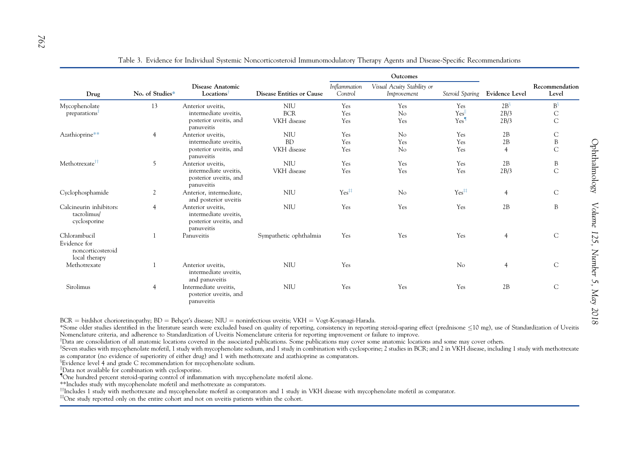<span id="page-6-0"></span>

|                                                                    | No. of Studies* | Disease Anatomic<br>Locations                                                      | <b>Disease Entities or Cause</b> |                         | Outcomes                                  |                   |                       |                         |
|--------------------------------------------------------------------|-----------------|------------------------------------------------------------------------------------|----------------------------------|-------------------------|-------------------------------------------|-------------------|-----------------------|-------------------------|
| Drug                                                               |                 |                                                                                    |                                  | Inflammation<br>Control | Visual Acuity Stability or<br>Improvement | Steroid Sparing   | <b>Evidence Level</b> | Recommendation<br>Level |
| Mycophenolate                                                      | 13              | Anterior uveitis,                                                                  | <b>NIU</b>                       | Yes                     | Yes                                       | Yes               | 2B <sup>5</sup>       | $B_{\delta}$            |
| preparations <sup>1</sup>                                          |                 | intermediate uveitis.                                                              | <b>BCR</b>                       | Yes                     | No                                        | Yes               | 2B/3                  | С                       |
|                                                                    |                 | posterior uveitis, and<br>panuveitis                                               | VKH disease                      | Yes                     | Yes                                       | Yes <sup>¶</sup>  | 2B/3                  | $\mathsf{C}$            |
| Azathioprine**                                                     | $\overline{4}$  | Anterior uveitis,                                                                  | <b>NIU</b>                       | Yes                     | No                                        | Yes               | 2B                    | C                       |
|                                                                    |                 | intermediate uveitis,                                                              | <b>BD</b>                        | Yes                     | Yes                                       | Yes               | 2B                    | B                       |
|                                                                    |                 | posterior uveitis, and<br>panuveitis                                               | VKH disease                      | Yes                     | No                                        | Yes               | $\overline{4}$        | $\mathsf{C}$            |
| Methotrexate <sup>††</sup>                                         | 5               | Anterior uveitis,                                                                  | <b>NIU</b>                       | Yes                     | Yes                                       | Yes               | 2B                    | B                       |
|                                                                    |                 | intermediate uveitis.<br>posterior uveitis, and<br>panuveitis                      | VKH disease                      | Yes                     | Yes                                       | Yes               | 2B/3                  | $\mathsf{C}$            |
| Cyclophosphamide                                                   | 2               | Anterior, intermediate,<br>and posterior uveitis                                   | <b>NIU</b>                       | Yes <sup>##</sup>       | No                                        | Yes <sup>##</sup> | $\overline{4}$        | $\mathsf{C}$            |
| Calcineurin inhibitors:<br>tacrolimus/<br>cyclosporine             | $\overline{4}$  | Anterior uveitis,<br>intermediate uveitis,<br>posterior uveitis, and<br>panuveitis | <b>NIU</b>                       | Yes                     | Yes                                       | Yes               | 2B                    | B                       |
| Chlorambucil<br>Evidence for<br>noncorticosteroid<br>local therapy |                 | Panuveitis                                                                         | Sympathetic ophthalmia           | Yes                     | Yes                                       | Yes               | $\overline{4}$        | $\mathsf{C}$            |
| Methotrexate                                                       |                 | Anterior uveitis.<br>intermediate uveitis,<br>and panuveitis                       | <b>NIU</b>                       | Yes                     |                                           | No                | $\overline{4}$        | $\mathsf{C}$            |
| Sirolimus                                                          | $\overline{4}$  | Intermediate uveitis,<br>posterior uveitis, and<br>panuveitis                      | <b>NIU</b>                       | Yes                     | Yes                                       | Yes               | 2B                    | $\mathsf{C}$            |

Table 3. Evidence for Individual Systemic Noncorticosteroid Immunomodulatory Therapy Agents and Disease-Specifi<sup>c</sup> Recommendations

BCR = birdshot chorioretinopathy; BD = Behçet's disease; NIU = noninfectious uveitis; VKH = Vogt-Koyanagi-Harada.

\*Some older studies identified in the literature search were excluded based on quality of reporting, consistency in reporting steroid-sparing effect (prednisone ≤10 mg), use of Standardization of Uveitis Nomenclature criteria, and adherence to Standardization of Uveitis Nomenclature criteria for reporting improvement or failure to improve.

<sup>y</sup>Data are consolidation of all anatomic locations covered in the associated publications. Some publications may cover some anatomic locations and some may cover others.

<sup>‡</sup>Seven studies with mycophenolate mofetil, 1 study with mycophenolate sodium, and 1 study in combination with cyclosporine; 2 studies in BCR; and 2 in VKH disease, including 1 study with methotrexate as comparator (no evidence of superiority of either drug) and 1 with methotrexate and azathioprine as comparators.

<sup>§</sup>Evidence level 4 and grade C recommendation for mycophenolate sodium.

Data not available for combination with cyclosporine.

 ${$  One hundred percent steroid-sparing control of inflammation with mycophenolate mofetil alone.

\*\*Includes study with mycophenolate mofetil and methotrexate as comparators.

<sup>††</sup>Includes 1 study with methotrexate and mycophenolate mofetil as comparators and 1 study in VKH disease with mycophenolate mofetil as comparator.

# One study reported only on the entire cohort and not on uveitis patients within the cohort.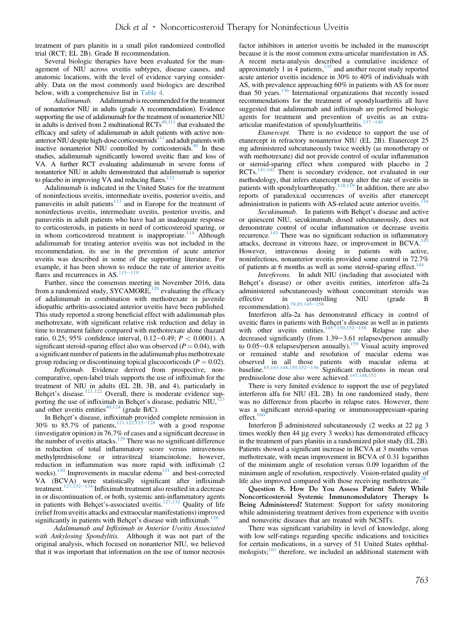treatment of pars planitis in a small pilot randomized controlled trial (RCT; EL 2B). Grade B recommendation.

Several biologic therapies have been evaluated for the management of NIU across uveitis subtypes, disease causes, and anatomic locations, with the level of evidence varying considerably. Data on the most commonly used biologics are described below, with a comprehensive list in [Table 4.](#page-8-0)

Adalimumab. Adalimumab is recommended for the treatment of nonanterior NIU in adults (grade A recommendation). Evidence supporting the use of adalimumab for the treatment of nonanterior NIU in adults is derived from 2 multinational  $\text{RCTs}^{49,111}$  $\text{RCTs}^{49,111}$  $\text{RCTs}^{49,111}$  that evaluated the efficacy and safety of adalimumab in adult patients with active nonanterior NIU despite high-dose corticosteroids $111$  and adult patients with inactive nonanterior NIU controlled by corticosteroids.<sup>49</sup> In these studies, adalimumab significantly lowered uveitic flare and loss of VA. A further RCT evaluating adalimumab in severe forms of nonanterior NIU in adults demonstrated that adalimumab is superior to placebo in improving VA and reducing flares. $112$ 

Adalimumab is indicated in the United States for the treatment of noninfectious uveitis, intermediate uveitis, posterior uveitis, and panuveitis in adult patients $113$  and in Europe for the treatment of noninfectious uveitis, intermediate uveitis, posterior uveitis, and panuveitis in adult patients who have had an inadequate response to corticosteroids, in patients in need of corticosteroid sparing, or in whom corticosteroid treatment is inappropriate.<sup>[114](#page-14-0)</sup> Although adalimumab for treating anterior uveitis was not included in the recommendation, its use in the prevention of acute anterior uveitis was described in some of the supporting literature. For example, it has been shown to reduce the rate of anterior uveitis flares and recurrences in AS. $\frac{115-119}{2}$  $\frac{115-119}{2}$  $\frac{115-119}{2}$  $\frac{115-119}{2}$  $\frac{115-119}{2}$ 

Further, since the consensus meeting in November 2016, data from a randomized study, SYCAMORE,<sup>[120](#page-15-0)</sup> evaluating the efficacy of adalimumab in combination with methotrexate in juvenile idiopathic arthritis-associated anterior uveitis have been published. This study reported a strong beneficial effect with adalimumab plus methotrexate, with significant relative risk reduction and delay in time to treatment failure compared with methotrexate alone (hazard ratio, 0.25; 95% confidence interval, 0.12–0.49;  $P < 0.0001$ ). A significant steroid-sparing effect also was observed ( $P = 0.04$ ), with a significant number of patients in the adalimumab plus methotrexate group reducing or discontinuing topical glucocorticoids ( $P = 0.02$ ).

Infliximab. Evidence derived from prospective, noncomparative, open-label trials supports the use of infliximab for the treatment of NIU in adults (EL 2B, 3B, and 4), particularly in Behçet's disease.<sup>[121,122](#page-15-0)</sup> Overall, there is moderate evidence supporting the use of infliximab in Behçet's disease, pediatric NIU,<sup>1</sup> and other uveitis entities<sup>[40,124](#page-12-0)</sup> (grade B/C).

In Behçet's disease, infliximab provided complete remission in 30% to 85.7% of patients, $121,122,125-128$  $121,122,125-128$  $121,122,125-128$  with a good response (investigator opinion) in 76.7% of cases and a significant decrease in the number of uveitis attacks.<sup>[129](#page-15-0)</sup> There was no significant difference in reduction of total inflammatory score versus intravenous methylprednisolone or intravitreal triamcinolone; however, reduction in inflammation was more rapid with infliximab (2 weeks).<sup>[130](#page-15-0)</sup> Improvements in macular edema<sup>131</sup> and best-corrected VA (BCVA) were statistically significant after infliximab treatment. $127,132-134$  $127,132-134$  $127,132-134$  Infliximab treatment also resulted in a decrease in or discontinuation of, or both, systemic anti-inflammatory agents in patients with Behçet's-associated uveitis. $127,132$  Quality of life (relief from uveitis attacks and extraocular manifestations) improved significantly in patients with Behçet's disease with infliximab.<sup>[126](#page-15-0)</sup>

Adalimumab and Infliximab in Anterior Uveitis Associated with Ankylosing Spondylitis. Although it was not part of the original analysis, which focused on nonanterior NIU, we believed that it was important that information on the use of tumor necrosis

factor inhibitors in anterior uveitis be included in the manuscript because it is the most common extra-articular manifestation in AS. A recent meta-analysis described a cumulative incidence of approximately 1 in 4 patients, $135$  and another recent study reported acute anterior uveitis incidence in 30% to 40% of individuals with AS, with prevalence approaching 60% in patients with AS for more than 50 years.[136](#page-15-0) International organizations that recently issued recommendations for the treatment of spondyloarthritis all have suggested that adalimumab and infliximab are preferred biologic agents for treatment and prevention of uveitis as an extra-<br>articular manifestation of spondyloarthritis.<sup>[137](#page-15-0)–[140](#page-15-0)</sup>

Etanercept. There is no evidence to support the use of etanercept in refractory nonanterior NIU (EL 2B). Etanercept 25 mg administered subcutaneously twice weekly (as monotherapy or with methotrexate) did not provide control of ocular inflammation or steroid-sparing effect when compared with placebo in 2 RCTs. $^{141,142}$  $^{141,142}$  $^{141,142}$  There is secondary evidence, not evaluated in our methodology, that infers etanercept may alter the rate of uveitis in patients with spondyloarthropathy.<sup>[118,119](#page-14-0)</sup> In addition, there are also reports of paradoxical occurrences of uveitis after etanercept administration in patients with AS-related acute anterior uveitis.<sup>1</sup>

Secukinumab. In patients with Behçet's disease and active or quiescent NIU, secukinumab, dosed subcutaneously, does not demonstrate control of ocular inflammation or decrease uveitis recurrence.<sup>143</sup> There was no significant reduction in inflammatory attacks, decrease in vitreous haze, or improvement in BCVA.<sup>[143](#page-15-0)</sup> However, intravenous dosing in patients with active, noninfectious, nonanterior uveitis provided some control in 72.7% of patients at 6 months as well as some steroid-sparing effect.<sup>[144](#page-15-0)</sup>

Interferons. In adult NIU (including that associated with Behçet's disease) or other uveitis entities, interferon alfa-2a administered subcutaneously without concomitant steroids was<br>effective in controlling NIU (grade B effective in controlling NIU (grade B recommendation).<sup>[78,85,145](#page-13-0)–[158](#page-13-0)</sup>

Interferon alfa-2a has demonstrated efficacy in control of uveitic flares in patients with Behçet's disease as well as in patients with other uveitis entities.  $145-150,152-158$  Relapse rate also with other uveitis entities. $145-150,152-158$  $145-150,152-158$  $145-150,152-158$  $145-150,152-158$  $145-150,152-158$ decreased significantly (from 1.39-3.61 relapses/person annually to  $0.05-0.8$  relapses/person annually).<sup>[159](#page-16-0)</sup> Visual acuity improved or remained stable and resolution of macular edema was observed in all those patients with macular edema at baseline.  $85,145,148,150,152-156$  $85,145,148,150,152-156$  $85,145,148,150,152-156$  Significant reductions in mean oral prednisolone dose also were achieved.<sup>[147,148,152](#page-15-0)</sup>

There is very limited evidence to support the use of pegylated interferon alfa for NIU (EL 2B). In one randomized study, there was no difference from placebo in relapse rates. However, there was a significant steroid-sparing or immunosuppressant-sparing effect.<sup>[160](#page-16-0)</sup>

Interferon  $\beta$  administered subcutaneously (2 weeks at 22  $\mu$ g 3 times weekly then 44 µg every 3 weeks) has demonstrated efficacy in the treatment of pars planitis in a randomized pilot study (EL 2B). Patients showed a significant increase in BCVA at 3 months versus methotrexate, with mean improvement in BCVA of 0.31 logarithm of the minimum angle of resolution versus 0.09 logarithm of the minimum angle of resolution, respectively. Vision-related quality of life also improved compared with those receiving methotrexate.<sup>2</sup>

Question 8. How Do You Assess Patient Safety While Noncorticosteroid Systemic Immunomodulatory Therapy Is Being Administered? Statement: Support for safety monitoring while administering treatment derives from experience with uveitis and nonuveitic diseases that are treated with NCSITs.

There was significant variability in level of knowledge, along with low self-ratings regarding specific indications and toxicities for certain medications, in a survey of 51 United States ophthalmologists; $\frac{161}{161}$  $\frac{161}{161}$  $\frac{161}{161}$  therefore, we included an additional statement with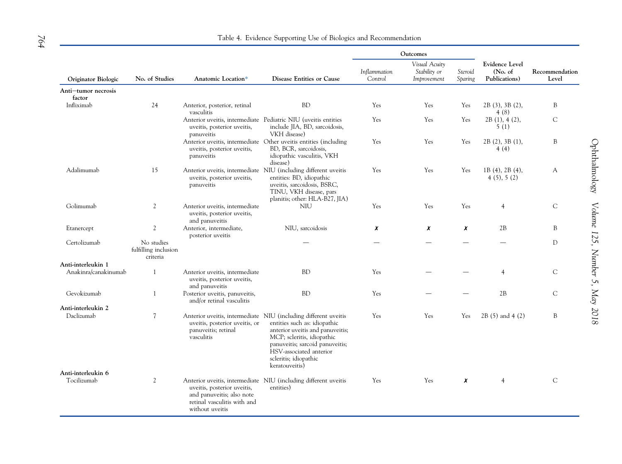# Table 4. Evidence Supporting Use of Biologics and Recommendation

<span id="page-8-0"></span>

|                                   | No. of Studies                                 | Anatomic Location*                                                                                         | Disease Entities or Cause                                                                                                                                                                                                                                                  | Outcomes                |                                              |                    |                                                    |                         |
|-----------------------------------|------------------------------------------------|------------------------------------------------------------------------------------------------------------|----------------------------------------------------------------------------------------------------------------------------------------------------------------------------------------------------------------------------------------------------------------------------|-------------------------|----------------------------------------------|--------------------|----------------------------------------------------|-------------------------|
| Originator Biologic               |                                                |                                                                                                            |                                                                                                                                                                                                                                                                            | Inflammation<br>Control | Visual Acuity<br>Stability or<br>Improvement | Steroid<br>Sparing | <b>Evidence Level</b><br>(No. of)<br>Publications) | Recommendation<br>Level |
| Anti-tumor necrosis<br>factor     |                                                |                                                                                                            |                                                                                                                                                                                                                                                                            |                         |                                              |                    |                                                    |                         |
| Infliximab                        | 24                                             | Anterior, posterior, retinal<br>vasculitis                                                                 | <b>BD</b>                                                                                                                                                                                                                                                                  | Yes                     | Yes                                          | Yes                | 2B (3), 3B (2),<br>4(8)                            | B                       |
|                                   |                                                | uveitis, posterior uveitis,<br>panuveitis                                                                  | Anterior uveitis, intermediate Pediatric NIU (uveitis entities<br>include JIA, BD, sarcoidosis,<br>VKH disease)                                                                                                                                                            | Yes                     | Yes                                          | Yes                | 2B(1), 4(2),<br>5(1)                               | $\mathsf{C}$            |
|                                   |                                                | uveitis, posterior uveitis,<br>panuveitis                                                                  | Anterior uveitis, intermediate Other uveitis entities (including<br>BD, BCR, sarcoidosis,<br>idiopathic vasculitis, VKH<br>disease)                                                                                                                                        | Yes                     | Yes                                          | Yes                | 2B(2), 3B(1),<br>4(4)                              | B                       |
| Adalimumab                        | 15                                             | uveitis, posterior uveitis,<br>panuveitis                                                                  | Anterior uveitis, intermediate NIU (including different uveitis<br>entities: BD, idiopathic<br>uveitis, sarcoidosis, BSRC,<br>TINU, VKH disease, pars<br>planitis; other: HLA-B27, JIA)                                                                                    | Yes                     | Yes                                          | Yes                | 1B (4), 2B (4),<br>4(5), 5(2)                      | A                       |
| Golimumab                         | $\mathfrak{2}$                                 | Anterior uveitis, intermediate<br>uveitis, posterior uveitis,<br>and panuveitis                            | <b>NIU</b>                                                                                                                                                                                                                                                                 | Yes                     | Yes                                          | Yes                | $\overline{4}$                                     | $\mathcal{C}$           |
| Etanercept                        | $\mathfrak{2}$                                 | Anterior, intermediate,<br>posterior uveitis                                                               | NIU, sarcoidosis                                                                                                                                                                                                                                                           | x                       | X                                            | x                  | 2B                                                 | B                       |
| Certolizumab                      | No studies<br>fulfilling inclusion<br>criteria |                                                                                                            |                                                                                                                                                                                                                                                                            |                         |                                              |                    |                                                    | D                       |
| Anti-interleukin 1                |                                                |                                                                                                            |                                                                                                                                                                                                                                                                            |                         |                                              |                    |                                                    |                         |
| Anakinra/canakinumab              | $\mathbf{1}$                                   | Anterior uveitis, intermediate<br>uveitis, posterior uveitis,<br>and panuveitis                            | <b>BD</b>                                                                                                                                                                                                                                                                  | Yes                     |                                              |                    | $\overline{4}$                                     | C                       |
| Gevokizumab                       | $\mathbf{1}$                                   | Posterior uveitis, panuveitis,<br>and/or retinal vasculitis                                                | <b>BD</b>                                                                                                                                                                                                                                                                  | Yes                     |                                              |                    | 2B                                                 | $\mathsf{C}$            |
| Anti-interleukin 2                |                                                |                                                                                                            |                                                                                                                                                                                                                                                                            |                         |                                              |                    |                                                    |                         |
| Daclizumab                        | 7                                              | uveitis, posterior uveitis, or<br>panuveitis; retinal<br>vasculitis                                        | Anterior uveitis, intermediate NIU (including different uveitis<br>entities such as: idiopathic<br>anterior uveitis and panuveitis;<br>MCP; scleritis, idiopathic<br>panuveitis; sarcoid panuveitis;<br>HSV-associated anterior<br>scleritis; idiopathic<br>keratouveitis) | Yes                     | <b>Yes</b>                                   | Yes                | 2B (5) and 4 (2)                                   | B                       |
| Anti-interleukin 6<br>Tocilizumab | 2                                              | uveitis, posterior uveitis,<br>and panuveitis; also note<br>retinal vasculitis with and<br>without uveitis | Anterior uveitis, intermediate NIU (including different uveitis<br>entities)                                                                                                                                                                                               | Yes                     | Yes                                          | x                  | 4                                                  | $\mathsf{C}$            |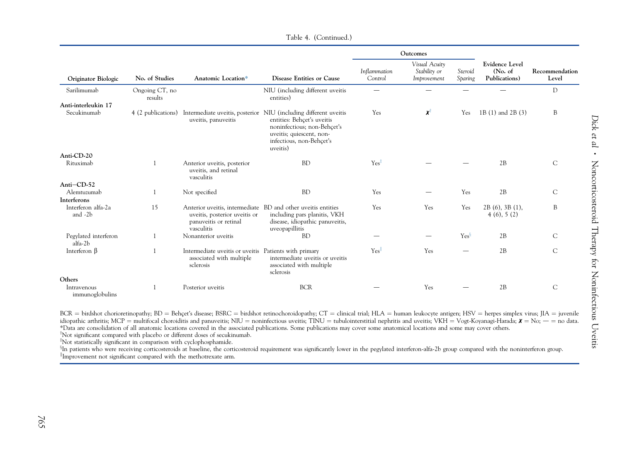<span id="page-9-0"></span>

| Originator Biologic             | No. of Studies            | Anatomic Location*                                                                             | Disease Entities or Cause                                                                                                                                                                                            | Outcomes                |                                              |                    |                                                    |                         |
|---------------------------------|---------------------------|------------------------------------------------------------------------------------------------|----------------------------------------------------------------------------------------------------------------------------------------------------------------------------------------------------------------------|-------------------------|----------------------------------------------|--------------------|----------------------------------------------------|-------------------------|
|                                 |                           |                                                                                                |                                                                                                                                                                                                                      | Inflammation<br>Control | Visual Acuity<br>Stability or<br>Improvement | Steroid<br>Sparing | <b>Evidence Level</b><br>(No. of)<br>Publications) | Recommendation<br>Level |
| Sarilimumab                     | Ongoing CT, no<br>results |                                                                                                | NIU (including different uveitis<br>entities)                                                                                                                                                                        |                         |                                              |                    |                                                    | D                       |
| Anti-interleukin 17             |                           |                                                                                                |                                                                                                                                                                                                                      |                         |                                              |                    |                                                    |                         |
| Secukinumab                     |                           | uveitis, panuveitis                                                                            | 4 (2 publications) Intermediate uveitis, posterior NIU (including different uveitis<br>entities: Behçet's uveitis<br>noninfectious; non-Behçet's<br>uveitis; quiescent, non-<br>infectious, non-Behçet's<br>uveitis) | Yes                     | $\chi$ <sup>T</sup>                          | Yes                | 1B (1) and 2B (3)                                  | B                       |
| Anti-CD-20                      |                           |                                                                                                |                                                                                                                                                                                                                      |                         |                                              |                    |                                                    |                         |
| Rituximab                       | -1                        | Anterior uveitis, posterior<br>uveitis, and retinal<br>vasculitis                              | <b>BD</b>                                                                                                                                                                                                            | $Yes^{\ddagger}$        |                                              |                    | 2B                                                 | $\mathsf{C}$            |
| Anti-CD-52                      |                           |                                                                                                |                                                                                                                                                                                                                      |                         |                                              |                    |                                                    |                         |
| Alemtuzumab<br>Interferons      |                           | Not specified                                                                                  | <b>BD</b>                                                                                                                                                                                                            | Yes                     |                                              | Yes                | 2B                                                 | $\mathsf{C}$            |
| Interferon alfa-2a<br>and -2b   | 15                        | uveitis, posterior uveitis or<br>panuveitis or retinal<br>vasculitis                           | Anterior uveitis, intermediate BD and other uveitis entities<br>including pars planitis, VKH<br>disease, idiopathic panuveitis,<br>uveopapillitis                                                                    | Yes                     | Yes                                          | Yes                | 2B(6), 3B(1),<br>4(6), 5(2)                        | B                       |
| Pegylated interferon<br>alfa-2b |                           | Nonanterior uveitis                                                                            | <b>BD</b>                                                                                                                                                                                                            |                         |                                              | $Yes^{\S}$         | 2B                                                 | $\mathcal{C}$           |
| Interferon $\beta$              |                           | Intermediate uveitis or uveitis Patients with primary<br>associated with multiple<br>sclerosis | intermediate uveitis or uveitis<br>associated with multiple<br>sclerosis                                                                                                                                             | Yes                     | Yes                                          |                    | 2B                                                 | C                       |
| Others                          |                           |                                                                                                |                                                                                                                                                                                                                      |                         |                                              |                    |                                                    |                         |
| Intravenous<br>immunoglobulins  |                           | Posterior uveitis                                                                              | <b>BCR</b>                                                                                                                                                                                                           |                         | Yes                                          |                    | 2B                                                 | C                       |

Table 4. (Continued.)

BCR = birdshot chorioretinopathy; BD = Behçet's disease; BSRC = birdshot retinochoroidopathy; CT = clinical trial; HLA = human leukocyte antigen; HSV = herpes simplex virus; JIA = juvenile idiopathic arthritis; MCP = multifocal choroiditis and panuveitis; NIU = noninfectious uveitis; TINU = tubulointerstitial nephritis and uveitis; VKH = Vogt-Koyanagi-Harada;  $\chi$  = No; - = no data. \*Data are consolidation of all anatomic locations covered in the associated publications. Some publications may cover some anatomical locations and some may cover others.

 $\alpha$ <sup>†</sup>Not significant compared with placebo or different doses of secukinumab.

<sup>‡</sup>Not statistically significant in comparison with cyclophosphamide.

<sup>§</sup>In patients who were receiving corticosteroids at baseline, the corticosteroid requirement was significantly lower in the pegylated interferon-alfa-2b group compared with the noninterferon group.<br><sup>||</sup>Improvement not sig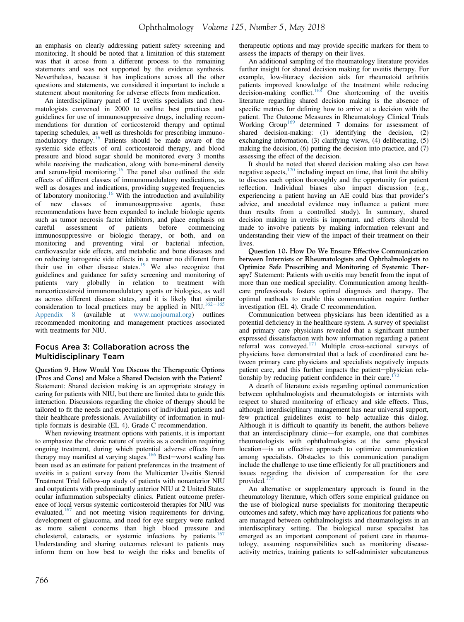an emphasis on clearly addressing patient safety screening and monitoring. It should be noted that a limitation of this statement was that it arose from a different process to the remaining statements and was not supported by the evidence synthesis. Nevertheless, because it has implications across all the other questions and statements, we considered it important to include a statement about monitoring for adverse effects from medication.

An interdisciplinary panel of 12 uveitis specialists and rheumatologists convened in 2000 to outline best practices and guidelines for use of immunosuppressive drugs, including recommendations for duration of corticosteroid therapy and optimal tapering schedules, as well as thresholds for prescribing immunomodulatory therapy.[16](#page-12-0) Patients should be made aware of the systemic side effects of oral corticosteroid therapy, and blood pressure and blood sugar should be monitored every 3 months while receiving the medication, along with bone-mineral density and serum-lipid monitoring.<sup>[16](#page-12-0)</sup> The panel also outlined the side effects of different classes of immunomodulatory medications, as well as dosages and indications, providing suggested frequencies of laboratory monitoring.<sup>[16](#page-12-0)</sup> With the introduction and availability of new classes of immunosuppressive agents, these recommendations have been expanded to include biologic agents such as tumor necrosis factor inhibitors, and place emphasis on careful assessment of patients before commencing immunosuppressive or biologic therapy, or both, and on monitoring and preventing viral or bacterial infection, cardiovascular side effects, and metabolic and bone diseases and on reducing iatrogenic side effects in a manner no different from their use in other disease states.<sup>[19](#page-12-0)</sup> We also recognize that guidelines and guidance for safety screening and monitoring of patients vary globally in relation to treatment with noncorticosteroid immunomodulatory agents or biologics, as well as across different disease states, and it is likely that similar consideration to local practices may be applied in NIU.<sup>[162](#page-16-0)-[165](#page-16-0)</sup> Appendix 8 (available at [www.aaojournal.org\)](http://www.aaojournal.org) outlines recommended monitoring and management practices associated with treatments for NIU.

#### Focus Area 3: Collaboration across the Multidisciplinary Team

Question 9. How Would You Discuss the Therapeutic Options (Pros and Cons) and Make a Shared Decision with the Patient? Statement: Shared decision making is an appropriate strategy in caring for patients with NIU, but there are limited data to guide this interaction. Discussions regarding the choice of therapy should be tailored to fit the needs and expectations of individual patients and their healthcare professionals. Availability of information in multiple formats is desirable (EL 4). Grade C recommendation.

When reviewing treatment options with patients, it is important to emphasize the chronic nature of uveitis as a condition requiring ongoing treatment, during which potential adverse effects from therapy may manifest at varying stages.<sup>[166](#page-16-0)</sup> Best-worst scaling has been used as an estimate for patient preferences in the treatment of uveitis in a patient survey from the Multicenter Uveitis Steroid Treatment Trial follow-up study of patients with nonanterior NIU and outpatients with predominantly anterior NIU at 2 United States ocular inflammation subspecialty clinics. Patient outcome preference of local versus systemic corticosteroid therapies for NIU was evaluated,<sup>[167](#page-16-0)</sup> and not meeting vision requirements for driving, development of glaucoma, and need for eye surgery were ranked as more salient concerns than high blood pressure and cholesterol, cataracts, or systemic infections by patients.<sup>[167](#page-16-0)</sup> Understanding and sharing outcomes relevant to patients may inform them on how best to weigh the risks and benefits of

therapeutic options and may provide specific markers for them to assess the impacts of therapy on their lives.

An additional sampling of the rheumatology literature provides further insight for shared decision making for uveitis therapy. For example, low-literacy decision aids for rheumatoid arthritis patients improved knowledge of the treatment while reducing  $\det$  decision-making conflict.<sup>[168](#page-16-0)</sup> One shortcoming of the uveitis literature regarding shared decision making is the absence of specific metrics for defining how to arrive at a decision with the patient. The Outcome Measures in Rheumatology Clinical Trials Working Group<sup>[169](#page-16-0)</sup> determined 7 domains for assessment of shared decision-making: (1) identifying the decision, (2) exchanging information, (3) clarifying views, (4) deliberating, (5) making the decision, (6) putting the decision into practice, and (7) assessing the effect of the decision.

It should be noted that shared decision making also can have negative aspects, $170$  including impact on time, that limit the ability to discuss each option thoroughly and the opportunity for patient reflection. Individual biases also impact discussion (e.g., experiencing a patient having an AE could bias that provider's advice, and anecdotal evidence may influence a patient more than results from a controlled study). In summary, shared decision making in uveitis is important, and efforts should be made to involve patients by making information relevant and understanding their view of the impact of their treatment on their lives.

Question 10. How Do We Ensure Effective Communication between Internists or Rheumatologists and Ophthalmologists to Optimize Safe Prescribing and Monitoring of Systemic Therapy? Statement: Patients with uveitis may benefit from the input of more than one medical speciality. Communication among healthcare professionals fosters optimal diagnosis and therapy. The optimal methods to enable this communication require further investigation (EL 4). Grade C recommendation.

Communication between physicians has been identified as a potential deficiency in the healthcare system. A survey of specialist and primary care physicians revealed that a significant number expressed dissatisfaction with how information regarding a patient referral was conveyed.<sup>171</sup> Multiple cross-sectional surveys of physicians have demonstrated that a lack of coordinated care between primary care physicians and specialists negatively impacts patient care, and this further impacts the patient-physician relationship by reducing patient confidence in their care.<sup>1</sup>

A dearth of literature exists regarding optimal communication between ophthalmologists and rheumatologists or internists with respect to shared monitoring of efficacy and side effects. Thus, although interdisciplinary management has near universal support, few practical guidelines exist to help actualize this dialog. Although it is difficult to quantify its benefit, the authors believe that an interdisciplinary clinic—for example, one that combines rheumatologists with ophthalmologists at the same physical location-is an effective approach to optimize communication among specialists. Obstacles to this communication paradigm include the challenge to use time efficiently for all practitioners and issues regarding the division of compensation for the care provided.

An alternative or supplementary approach is found in the rheumatology literature, which offers some empirical guidance on the use of biological nurse specialists for monitoring therapeutic outcomes and safety, which may have applications for patients who are managed between ophthalmologists and rheumatologists in an interdisciplinary setting. The biological nurse specialist has emerged as an important component of patient care in rheumatology, assuming responsibilities such as monitoring diseaseactivity metrics, training patients to self-administer subcutaneous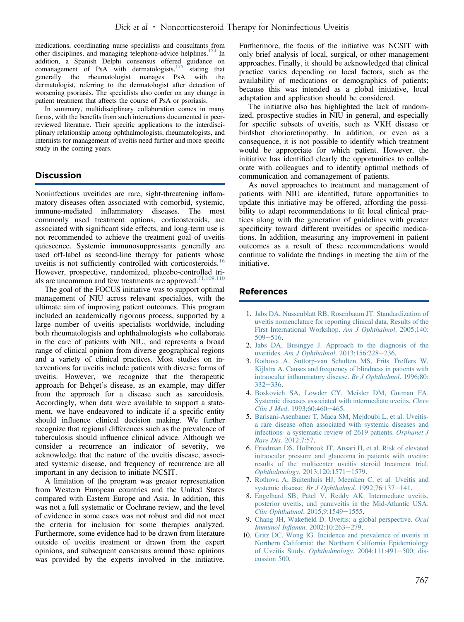<span id="page-11-0"></span>medications, coordinating nurse specialists and consultants from other disciplines, and managing telephone-advice helplines.<sup>[174](#page-16-0)</sup> In addition, a Spanish Delphi consensus offered guidance on comanagement of PsA with dermatologists, $175$  stating that generally the rheumatologist manages PsA with the generally the rheumatologist manages PsA dermatologist, referring to the dermatologist after detection of worsening psoriasis. The specialists also confer on any change in patient treatment that affects the course of PsA or psoriasis.

In summary, multidisciplinary collaboration comes in many forms, with the benefits from such interactions documented in peerreviewed literature. Their specific applications to the interdisciplinary relationship among ophthalmologists, rheumatologists, and internists for management of uveitis need further and more specific study in the coming years.

# Discussion

Noninfectious uveitides are rare, sight-threatening inflammatory diseases often associated with comorbid, systemic, immune-mediated inflammatory diseases. The most commonly used treatment options, corticosteroids, are associated with significant side effects, and long-term use is not recommended to achieve the treatment goal of uveitis quiescence. Systemic immunosuppressants generally are used off-label as second-line therapy for patients whose uveitis is not sufficiently controlled with corticosteroids.<sup>[16](#page-12-0)</sup> However, prospective, randomized, placebo-controlled trials are uncommon and few treatments are approved. $71,109,110$ 

The goal of the FOCUS initiative was to support optimal management of NIU across relevant specialties, with the ultimate aim of improving patient outcomes. This program included an academically rigorous process, supported by a large number of uveitis specialists worldwide, including both rheumatologists and ophthalmologists who collaborate in the care of patients with NIU, and represents a broad range of clinical opinion from diverse geographical regions and a variety of clinical practices. Most studies on interventions for uveitis include patients with diverse forms of uveitis. However, we recognize that the therapeutic approach for Behçet's disease, as an example, may differ from the approach for a disease such as sarcoidosis. Accordingly, when data were available to support a statement, we have endeavored to indicate if a specific entity should influence clinical decision making. We further recognize that regional differences such as the prevalence of tuberculosis should influence clinical advice. Although we consider a recurrence an indicator of severity, we acknowledge that the nature of the uveitis disease, associated systemic disease, and frequency of recurrence are all important in any decision to initiate NCSIT.

A limitation of the program was greater representation from Western European countries and the United States compared with Eastern Europe and Asia. In addition, this was not a full systematic or Cochrane review, and the level of evidence in some cases was not robust and did not meet the criteria for inclusion for some therapies analyzed. Furthermore, some evidence had to be drawn from literature outside of uveitis treatment or drawn from the expert opinions, and subsequent consensus around those opinions was provided by the experts involved in the initiative. Furthermore, the focus of the initiative was NCSIT with only brief analysis of local, surgical, or other management approaches. Finally, it should be acknowledged that clinical practice varies depending on local factors, such as the availability of medications or demographics of patients; because this was intended as a global initiative, local adaptation and application should be considered.

The initiative also has highlighted the lack of randomized, prospective studies in NIU in general, and especially for specific subsets of uveitis, such as VKH disease or birdshot chorioretinopathy. In addition, or even as a consequence, it is not possible to identify which treatment would be appropriate for which patient. However, the initiative has identified clearly the opportunities to collaborate with colleagues and to identify optimal methods of communication and comanagement of patients.

As novel approaches to treatment and management of patients with NIU are identified, future opportunities to update this initiative may be offered, affording the possibility to adapt recommendations to fit local clinical practices along with the generation of guidelines with greater specificity toward different uveitides or specific medications. In addition, measuring any improvement in patient outcomes as a result of these recommendations would continue to validate the findings in meeting the aim of the initiative.

### References

- 1. [Jabs DA, Nussenblatt RB, Rosenbaum JT. Standardization of](http://refhub.elsevier.com/S0161-6420(17)32446-6/sref1) [uveitis nomenclature for reporting clinical data. Results of the](http://refhub.elsevier.com/S0161-6420(17)32446-6/sref1) [First International Workshop.](http://refhub.elsevier.com/S0161-6420(17)32446-6/sref1) Am J Ophthalmol. 2005;140:  $509 - 516$  $509 - 516$ .
- 2. [Jabs DA, Busingye J. Approach to the diagnosis of the](http://refhub.elsevier.com/S0161-6420(17)32446-6/sref2) uveitides. [Am J Ophthalmol](http://refhub.elsevier.com/S0161-6420(17)32446-6/sref2). 2013;156:228-[236.](http://refhub.elsevier.com/S0161-6420(17)32446-6/sref2)
- 3. [Rothova A, Suttorp-van Schulten MS, Frits Treffers W,](http://refhub.elsevier.com/S0161-6420(17)32446-6/sref3) [Kijlstra A. Causes and frequency of blindness in patients with](http://refhub.elsevier.com/S0161-6420(17)32446-6/sref3) intraocular infl[ammatory disease.](http://refhub.elsevier.com/S0161-6420(17)32446-6/sref3) Br J Ophthalmol. 1996;80:  $332 - 336.$  $332 - 336.$  $332 - 336.$
- 4. [Boskovich SA, Lowder CY, Meisler DM, Gutman FA.](http://refhub.elsevier.com/S0161-6420(17)32446-6/sref4) [Systemic diseases associated with intermediate uveitis.](http://refhub.elsevier.com/S0161-6420(17)32446-6/sref4) Cleve Clin J Med.  $1993:60:460-465$ .
- 5. [Barisani-Asenbauer T, Maca SM, Mejdoubi L, et al. Uveitis](http://refhub.elsevier.com/S0161-6420(17)32446-6/sref5)[a rare disease often associated with systemic diseases and](http://refhub.elsevier.com/S0161-6420(17)32446-6/sref5) [infections- a systematic review of 2619 patients.](http://refhub.elsevier.com/S0161-6420(17)32446-6/sref5) Orphanet J Rare Dis[. 2012;7:57](http://refhub.elsevier.com/S0161-6420(17)32446-6/sref5).
- 6. [Friedman DS, Holbrook JT, Ansari H, et al. Risk of elevated](http://refhub.elsevier.com/S0161-6420(17)32446-6/sref6) [intraocular pressure and glaucoma in patients with uveitis:](http://refhub.elsevier.com/S0161-6420(17)32446-6/sref6) [results of the multicenter uveitis steroid treatment trial.](http://refhub.elsevier.com/S0161-6420(17)32446-6/sref6) Ophthalmology[. 2013;120:1571](http://refhub.elsevier.com/S0161-6420(17)32446-6/sref6)-[1579.](http://refhub.elsevier.com/S0161-6420(17)32446-6/sref6)
- 7. [Rothova A, Buitenhuis HJ, Meenken C, et al. Uveitis and](http://refhub.elsevier.com/S0161-6420(17)32446-6/sref7) systemic disease. [Br J Ophthalmol](http://refhub.elsevier.com/S0161-6420(17)32446-6/sref7). 1992;76:137-[141.](http://refhub.elsevier.com/S0161-6420(17)32446-6/sref7)
- 8. [Engelhard SB, Patel V, Reddy AK. Intermediate uveitis,](http://refhub.elsevier.com/S0161-6420(17)32446-6/sref8) [posterior uveitis, and panuveitis in the Mid-Atlantic USA.](http://refhub.elsevier.com/S0161-6420(17)32446-6/sref8) [Clin Ophthalmol](http://refhub.elsevier.com/S0161-6420(17)32446-6/sref8). 2015;9:1549-[1555](http://refhub.elsevier.com/S0161-6420(17)32446-6/sref8).
- 9. Chang JH, Wakefi[eld D. Uveitis: a global perspective.](http://refhub.elsevier.com/S0161-6420(17)32446-6/sref9) Ocul Immunol Inflamm[. 2002;10:263](http://refhub.elsevier.com/S0161-6420(17)32446-6/sref9)-[279.](http://refhub.elsevier.com/S0161-6420(17)32446-6/sref9)
- 10. [Gritz DC, Wong IG. Incidence and prevalence of uveitis in](http://refhub.elsevier.com/S0161-6420(17)32446-6/sref10) [Northern California; the Northern California Epidemiology](http://refhub.elsevier.com/S0161-6420(17)32446-6/sref10) [of Uveitis Study.](http://refhub.elsevier.com/S0161-6420(17)32446-6/sref10) Ophthalmology.  $2004;111:491-500$ ; dis[cussion 500](http://refhub.elsevier.com/S0161-6420(17)32446-6/sref10).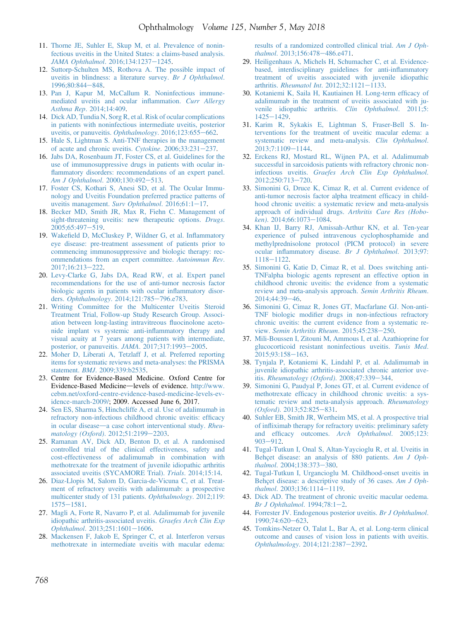- <span id="page-12-0"></span>11. [Thorne JE, Suhler E, Skup M, et al. Prevalence of nonin](http://refhub.elsevier.com/S0161-6420(17)32446-6/sref11)[fectious uveitis in the United States: a claims-based analysis.](http://refhub.elsevier.com/S0161-6420(17)32446-6/sref11) [JAMA Ophthalmol](http://refhub.elsevier.com/S0161-6420(17)32446-6/sref11). 2016;134:1237-[1245](http://refhub.elsevier.com/S0161-6420(17)32446-6/sref11).
- 12. [Suttorp-Schulten MS, Rothova A. The possible impact of](http://refhub.elsevier.com/S0161-6420(17)32446-6/sref12) [uveitis in blindness: a literature survey.](http://refhub.elsevier.com/S0161-6420(17)32446-6/sref12) Br J Ophthalmol. 1996:80:844-[848.](http://refhub.elsevier.com/S0161-6420(17)32446-6/sref12)
- 13. [Pan J, Kapur M, McCallum R. Noninfectious immune](http://refhub.elsevier.com/S0161-6420(17)32446-6/sref13)[mediated uveitis and ocular in](http://refhub.elsevier.com/S0161-6420(17)32446-6/sref13)flammation. Curr Allergy Asthma Rep[. 2014;14:409](http://refhub.elsevier.com/S0161-6420(17)32446-6/sref13).
- 14. [Dick AD, Tundia N, Sorg R, et al. Risk of ocular complications](http://refhub.elsevier.com/S0161-6420(17)32446-6/sref14) [in patients with noninfectious intermediate uveitis, posterior](http://refhub.elsevier.com/S0161-6420(17)32446-6/sref14) [uveitis, or panuveitis.](http://refhub.elsevier.com/S0161-6420(17)32446-6/sref14) Ophthalmology. 2016;123:655–[662.](http://refhub.elsevier.com/S0161-6420(17)32446-6/sref14)
- 15. [Hale S, Lightman S. Anti-TNF therapies in the management](http://refhub.elsevier.com/S0161-6420(17)32446-6/sref15) [of acute and chronic uveitis.](http://refhub.elsevier.com/S0161-6420(17)32446-6/sref15) Cytokine. 2006;33:231-[237.](http://refhub.elsevier.com/S0161-6420(17)32446-6/sref15)
- 16. [Jabs DA, Rosenbaum JT, Foster CS, et al. Guidelines for the](http://refhub.elsevier.com/S0161-6420(17)32446-6/sref16) [use of immunosuppressive drugs in patients with ocular in](http://refhub.elsevier.com/S0161-6420(17)32446-6/sref16)fl[ammatory disorders: recommendations of an expert panel.](http://refhub.elsevier.com/S0161-6420(17)32446-6/sref16) [Am J Ophthalmol](http://refhub.elsevier.com/S0161-6420(17)32446-6/sref16). 2000;130:492-[513.](http://refhub.elsevier.com/S0161-6420(17)32446-6/sref16)
- 17. [Foster CS, Kothari S, Anesi SD, et al. The Ocular Immu](http://refhub.elsevier.com/S0161-6420(17)32446-6/sref17)[nology and Uveitis Foundation preferred practice patterns of](http://refhub.elsevier.com/S0161-6420(17)32446-6/sref17) [uveitis management.](http://refhub.elsevier.com/S0161-6420(17)32446-6/sref17) Surv Ophthalmol.  $2016;61:1-17$ .
- 18. [Becker MD, Smith JR, Max R, Fiehn C. Management of](http://refhub.elsevier.com/S0161-6420(17)32446-6/sref18) [sight-threatening uveitis: new therapeutic options.](http://refhub.elsevier.com/S0161-6420(17)32446-6/sref18) Drugs. [2005;65:497](http://refhub.elsevier.com/S0161-6420(17)32446-6/sref18)-[519.](http://refhub.elsevier.com/S0161-6420(17)32446-6/sref18)
- 19. Wakefi[eld D, McCluskey P, Wildner G, et al. In](http://refhub.elsevier.com/S0161-6420(17)32446-6/sref19)flammatory [eye disease: pre-treatment assessment of patients prior to](http://refhub.elsevier.com/S0161-6420(17)32446-6/sref19) [commencing immunosuppressive and biologic therapy: rec](http://refhub.elsevier.com/S0161-6420(17)32446-6/sref19)[ommendations from an expert committee.](http://refhub.elsevier.com/S0161-6420(17)32446-6/sref19) Autoimmun Rev. [2017;16:213](http://refhub.elsevier.com/S0161-6420(17)32446-6/sref19)-[222.](http://refhub.elsevier.com/S0161-6420(17)32446-6/sref19)
- 20. [Levy-Clarke G, Jabs DA, Read RW, et al. Expert panel](http://refhub.elsevier.com/S0161-6420(17)32446-6/sref20) [recommendations for the use of anti-tumor necrosis factor](http://refhub.elsevier.com/S0161-6420(17)32446-6/sref20) [biologic agents in patients with ocular in](http://refhub.elsevier.com/S0161-6420(17)32446-6/sref20)flammatory disor-ders. Ophthalmology[. 2014;121:785](http://refhub.elsevier.com/S0161-6420(17)32446-6/sref20)-[796.e783](http://refhub.elsevier.com/S0161-6420(17)32446-6/sref20).
- 21. [Writing Committee for the Multicenter Uveitis Steroid](http://refhub.elsevier.com/S0161-6420(17)32446-6/sref21) [Treatment Trial, Follow-up Study Research Group. Associ](http://refhub.elsevier.com/S0161-6420(17)32446-6/sref21)[ation between long-lasting intravitreous](http://refhub.elsevier.com/S0161-6420(17)32446-6/sref21) fluocinolone aceto[nide implant vs systemic anti-in](http://refhub.elsevier.com/S0161-6420(17)32446-6/sref21)flammatory therapy and [visual acuity at 7 years among patients with intermediate,](http://refhub.elsevier.com/S0161-6420(17)32446-6/sref21) [posterior, or panuveitis.](http://refhub.elsevier.com/S0161-6420(17)32446-6/sref21)  $JAMA$ .  $2017;317:1993-2005$  $2017;317:1993-2005$ .
- 22. [Moher D, Liberati A, Tetzlaff J, et al. Preferred reporting](http://refhub.elsevier.com/S0161-6420(17)32446-6/sref22) [items for systematic reviews and meta-analyses: the PRISMA](http://refhub.elsevier.com/S0161-6420(17)32446-6/sref22) statement. BMJ[. 2009;339:b2535](http://refhub.elsevier.com/S0161-6420(17)32446-6/sref22).
- 23. Centre for Evidence-Based Medicine. Oxford Centre for Evidence-Based Medicine-levels of evidence. [http://www.](http://www.cebm.net/oxford-centre-evidence-based-medicine-levels-evidence-march-2009/) [cebm.net/oxford-centre-evidence-based-medicine-levels-ev](http://www.cebm.net/oxford-centre-evidence-based-medicine-levels-evidence-march-2009/)[idence-march-2009/](http://www.cebm.net/oxford-centre-evidence-based-medicine-levels-evidence-march-2009/); 2009. Accessed June 6, 2017.
- 24. [Sen ES, Sharma S, Hinchcliffe A, et al. Use of adalimumab in](http://refhub.elsevier.com/S0161-6420(17)32446-6/sref24) [refractory non-infectious childhood chronic uveitis: ef](http://refhub.elsevier.com/S0161-6420(17)32446-6/sref24)ficacy [in ocular disease](http://refhub.elsevier.com/S0161-6420(17)32446-6/sref24)—[a case cohort interventional study.](http://refhub.elsevier.com/S0161-6420(17)32446-6/sref24) Rheu[matology \(Oxford\)](http://refhub.elsevier.com/S0161-6420(17)32446-6/sref24). 2012;51:2199-[2203](http://refhub.elsevier.com/S0161-6420(17)32446-6/sref24).
- 25. [Ramanan AV, Dick AD, Benton D, et al. A randomised](http://refhub.elsevier.com/S0161-6420(17)32446-6/sref25) [controlled trial of the clinical effectiveness, safety and](http://refhub.elsevier.com/S0161-6420(17)32446-6/sref25) [cost-effectiveness of adalimumab in combination with](http://refhub.elsevier.com/S0161-6420(17)32446-6/sref25) [methotrexate for the treatment of juvenile idiopathic arthritis](http://refhub.elsevier.com/S0161-6420(17)32446-6/sref25) [associated uveitis \(SYCAMORE Trial\).](http://refhub.elsevier.com/S0161-6420(17)32446-6/sref25) Trials. 2014;15:14.
- 26. [Diaz-Llopis M, Salom D, Garcia-de-Vicuna C, et al. Treat](http://refhub.elsevier.com/S0161-6420(17)32446-6/sref26)[ment of refractory uveitis with adalimumab: a prospective](http://refhub.elsevier.com/S0161-6420(17)32446-6/sref26) [multicenter study of 131 patients.](http://refhub.elsevier.com/S0161-6420(17)32446-6/sref26) Ophthalmology. 2012;119:  $1575 - 1581$  $1575 - 1581$ .
- 27. [Magli A, Forte R, Navarro P, et al. Adalimumab for juvenile](http://refhub.elsevier.com/S0161-6420(17)32446-6/sref27) [idiopathic arthritis-associated uveitis.](http://refhub.elsevier.com/S0161-6420(17)32446-6/sref27) Graefes Arch Clin Exp Ophthalmol.  $2013;251:1601-1606$ .
- 28. [Mackensen F, Jakob E, Springer C, et al. Interferon versus](http://refhub.elsevier.com/S0161-6420(17)32446-6/sref28) [methotrexate in intermediate uveitis with macular edema:](http://refhub.elsevier.com/S0161-6420(17)32446-6/sref28)

[results of a randomized controlled clinical trial.](http://refhub.elsevier.com/S0161-6420(17)32446-6/sref28) Am J Oph-thalmol[. 2013;156:478](http://refhub.elsevier.com/S0161-6420(17)32446-6/sref28)-[486.e471](http://refhub.elsevier.com/S0161-6420(17)32446-6/sref28).

- 29. [Heiligenhaus A, Michels H, Schumacher C, et al. Evidence](http://refhub.elsevier.com/S0161-6420(17)32446-6/sref29)[based, interdisciplinary guidelines for anti-in](http://refhub.elsevier.com/S0161-6420(17)32446-6/sref29)flammatory [treatment of uveitis associated with juvenile idiopathic](http://refhub.elsevier.com/S0161-6420(17)32446-6/sref29) arthritis. *Rheumatol Int.*  $2012;32:1121-1133$ .
- 30. [Kotaniemi K, Saila H, Kautiainen H. Long-term ef](http://refhub.elsevier.com/S0161-6420(17)32446-6/sref30)ficacy of [adalimumab in the treatment of uveitis associated with ju](http://refhub.elsevier.com/S0161-6420(17)32446-6/sref30)[venile idiopathic arthritis.](http://refhub.elsevier.com/S0161-6420(17)32446-6/sref30) Clin Ophthalmol. 2011;5:  $1425 - 1429.$  $1425 - 1429.$  $1425 - 1429.$
- 31. [Karim R, Sykakis E, Lightman S, Fraser-Bell S. In](http://refhub.elsevier.com/S0161-6420(17)32446-6/sref31)[terventions for the treatment of uveitic macular edema: a](http://refhub.elsevier.com/S0161-6420(17)32446-6/sref31) [systematic review and meta-analysis.](http://refhub.elsevier.com/S0161-6420(17)32446-6/sref31) Clin Ophthalmol. [2013;7:1109](http://refhub.elsevier.com/S0161-6420(17)32446-6/sref31)-[1144](http://refhub.elsevier.com/S0161-6420(17)32446-6/sref31).
- 32. [Erckens RJ, Mostard RL, Wijnen PA, et al. Adalimumab](http://refhub.elsevier.com/S0161-6420(17)32446-6/sref32) [successful in sarcoidosis patients with refractory chronic non](http://refhub.elsevier.com/S0161-6420(17)32446-6/sref32)infectious uveitis. [Graefes Arch Clin Exp Ophthalmol](http://refhub.elsevier.com/S0161-6420(17)32446-6/sref32). [2012;250:713](http://refhub.elsevier.com/S0161-6420(17)32446-6/sref32)-[720](http://refhub.elsevier.com/S0161-6420(17)32446-6/sref32).
- 33. [Simonini G, Druce K, Cimaz R, et al. Current evidence of](http://refhub.elsevier.com/S0161-6420(17)32446-6/sref33) [anti-tumor necrosis factor alpha treatment ef](http://refhub.elsevier.com/S0161-6420(17)32446-6/sref33)ficacy in child[hood chronic uveitis: a systematic review and meta-analysis](http://refhub.elsevier.com/S0161-6420(17)32446-6/sref33) [approach of individual drugs.](http://refhub.elsevier.com/S0161-6420(17)32446-6/sref33) Arthritis Care Res (Hobo-ken)[. 2014;66:1073](http://refhub.elsevier.com/S0161-6420(17)32446-6/sref33)-[1084](http://refhub.elsevier.com/S0161-6420(17)32446-6/sref33).
- 34. [Khan IJ, Barry RJ, Amissah-Arthur KN, et al. Ten-year](http://refhub.elsevier.com/S0161-6420(17)32446-6/sref34) [experience of pulsed intravenous cyclophosphamide and](http://refhub.elsevier.com/S0161-6420(17)32446-6/sref34) [methylprednisolone protocol \(PICM protocol\) in severe](http://refhub.elsevier.com/S0161-6420(17)32446-6/sref34) ocular infl[ammatory disease.](http://refhub.elsevier.com/S0161-6420(17)32446-6/sref34) Br J Ophthalmol. 2013;97: [1118](http://refhub.elsevier.com/S0161-6420(17)32446-6/sref34)e[1122.](http://refhub.elsevier.com/S0161-6420(17)32446-6/sref34)
- 35. [Simonini G, Katie D, Cimaz R, et al. Does switching anti-](http://refhub.elsevier.com/S0161-6420(17)32446-6/sref35)[TNFalpha biologic agents represent an effective option in](http://refhub.elsevier.com/S0161-6420(17)32446-6/sref35) [childhood chronic uveitis: the evidence from a systematic](http://refhub.elsevier.com/S0161-6420(17)32446-6/sref35) [review and meta-analysis approach.](http://refhub.elsevier.com/S0161-6420(17)32446-6/sref35) Semin Arthritis Rheum. [2014;44:39](http://refhub.elsevier.com/S0161-6420(17)32446-6/sref35)-[46.](http://refhub.elsevier.com/S0161-6420(17)32446-6/sref35)
- 36. [Simonini G, Cimaz R, Jones GT, Macfarlane GJ. Non-anti-](http://refhub.elsevier.com/S0161-6420(17)32446-6/sref36)TNF biologic modifi[er drugs in non-infectious refractory](http://refhub.elsevier.com/S0161-6420(17)32446-6/sref36) [chronic uveitis: the current evidence from a systematic re-](http://refhub.elsevier.com/S0161-6420(17)32446-6/sref36)view. [Semin Arthritis Rheum](http://refhub.elsevier.com/S0161-6420(17)32446-6/sref36). 2015;45:238-[250.](http://refhub.elsevier.com/S0161-6420(17)32446-6/sref36)
- 37. [Mili-Boussen I, Zitouni M, Ammous I, et al. Azathioprine for](http://refhub.elsevier.com/S0161-6420(17)32446-6/sref37) [glucocorticoid resistant noninfectious uveitis.](http://refhub.elsevier.com/S0161-6420(17)32446-6/sref37) Tunis Med. [2015;93:158](http://refhub.elsevier.com/S0161-6420(17)32446-6/sref37)-[163.](http://refhub.elsevier.com/S0161-6420(17)32446-6/sref37)
- 38. [Tynjala P, Kotaniemi K, Lindahl P, et al. Adalimumab in](http://refhub.elsevier.com/S0161-6420(17)32446-6/sref38) [juvenile idiopathic arthritis-associated chronic anterior uve-](http://refhub.elsevier.com/S0161-6420(17)32446-6/sref38)itis. [Rheumatology \(Oxford\)](http://refhub.elsevier.com/S0161-6420(17)32446-6/sref38).  $2008;47:339-344$  $2008;47:339-344$ .
- 39. [Simonini G, Paudyal P, Jones GT, et al. Current evidence of](http://refhub.elsevier.com/S0161-6420(17)32446-6/sref39) methotrexate effi[cacy in childhood chronic uveitis: a sys](http://refhub.elsevier.com/S0161-6420(17)32446-6/sref39)[tematic review and meta-analysis approach.](http://refhub.elsevier.com/S0161-6420(17)32446-6/sref39) Rheumatology  $(Oxford)$ [. 2013;52:825](http://refhub.elsevier.com/S0161-6420(17)32446-6/sref39)-[831.](http://refhub.elsevier.com/S0161-6420(17)32446-6/sref39)
- 40. [Suhler EB, Smith JR, Wertheim MS, et al. A prospective trial](http://refhub.elsevier.com/S0161-6420(17)32446-6/sref40) of infl[iximab therapy for refractory uveitis: preliminary safety](http://refhub.elsevier.com/S0161-6420(17)32446-6/sref40) and efficacy outcomes. [Arch Ophthalmol](http://refhub.elsevier.com/S0161-6420(17)32446-6/sref40). 2005;123:  $903 - 912$  $903 - 912$  $903 - 912$ .
- 41. [Tugal-Tutkun I, Onal S, Altan-Yaycioglu R, et al. Uveitis in](http://refhub.elsevier.com/S0161-6420(17)32446-6/sref41) [Behçet disease: an analysis of 880 patients.](http://refhub.elsevier.com/S0161-6420(17)32446-6/sref41) Am J Oph-thalmol[. 2004;138:373](http://refhub.elsevier.com/S0161-6420(17)32446-6/sref41)-[380.](http://refhub.elsevier.com/S0161-6420(17)32446-6/sref41)
- 42. [Tugal-Tutkun I, Urgancioglu M. Childhood-onset uveitis in](http://refhub.elsevier.com/S0161-6420(17)32446-6/sref42) [Behçet disease: a descriptive study of 36 cases.](http://refhub.elsevier.com/S0161-6420(17)32446-6/sref42) Am J Oph-thalmol[. 2003;136:1114](http://refhub.elsevier.com/S0161-6420(17)32446-6/sref42)-[1119.](http://refhub.elsevier.com/S0161-6420(17)32446-6/sref42)
- 43. [Dick AD. The treatment of chronic uveitic macular oedema.](http://refhub.elsevier.com/S0161-6420(17)32446-6/sref43) [Br J Ophthalmol](http://refhub.elsevier.com/S0161-6420(17)32446-6/sref43).  $1994;78:1-2$  $1994;78:1-2$ .
- 44. [Forrester JV. Endogenous posterior uveitis.](http://refhub.elsevier.com/S0161-6420(17)32446-6/sref44) Br J Ophthalmol. [1990;74:620](http://refhub.elsevier.com/S0161-6420(17)32446-6/sref44)-[623.](http://refhub.elsevier.com/S0161-6420(17)32446-6/sref44)
- 45. [Tomkins-Netzer O, Talat L, Bar A, et al. Long-term clinical](http://refhub.elsevier.com/S0161-6420(17)32446-6/sref45) [outcome and causes of vision loss in patients with uveitis.](http://refhub.elsevier.com/S0161-6420(17)32446-6/sref45) Ophthalmology[. 2014;121:2387](http://refhub.elsevier.com/S0161-6420(17)32446-6/sref45)-[2392.](http://refhub.elsevier.com/S0161-6420(17)32446-6/sref45)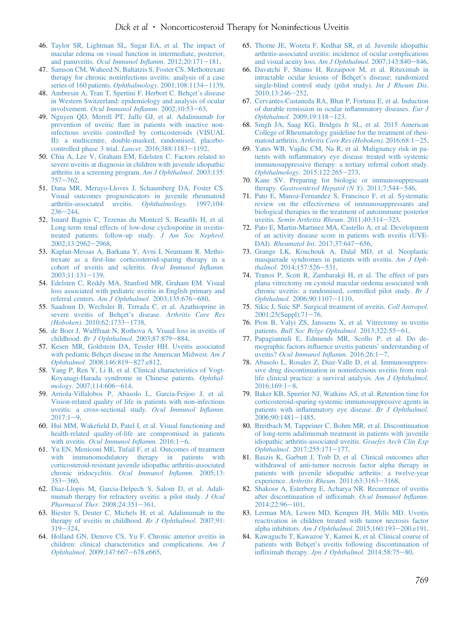- <span id="page-13-0"></span>46. [Taylor SR, Lightman SL, Sugar EA, et al. The impact of](http://refhub.elsevier.com/S0161-6420(17)32446-6/sref46) [macular edema on visual function in intermediate, posterior,](http://refhub.elsevier.com/S0161-6420(17)32446-6/sref46) and panuveitis. [Ocul Immunol In](http://refhub.elsevier.com/S0161-6420(17)32446-6/sref46)flamm.  $2012;20:171-181$ .
- 47. [Samson CM, Waheed N, Baltatzis S, Foster CS. Methotrexate](http://refhub.elsevier.com/S0161-6420(17)32446-6/sref47) [therapy for chronic noninfectious uveitis: analysis of a case](http://refhub.elsevier.com/S0161-6420(17)32446-6/sref47) [series of 160 patients.](http://refhub.elsevier.com/S0161-6420(17)32446-6/sref47) Ophthalmology.  $2001;108:1134-1139$  $2001;108:1134-1139$ .
- 48. [Ambresin A, Tran T, Spertini F, Herbort C. Behçet](http://refhub.elsevier.com/S0161-6420(17)32446-6/sref48)'s disease [in Western Switzerland: epidemiology and analysis of ocular](http://refhub.elsevier.com/S0161-6420(17)32446-6/sref48) involvement. [Ocul Immunol In](http://refhub.elsevier.com/S0161-6420(17)32446-6/sref48)flamm. 2002;10:53-[63.](http://refhub.elsevier.com/S0161-6420(17)32446-6/sref48)
- 49. [Nguyen QD, Merrill PT, Jaffe GJ, et al. Adalimumab for](http://refhub.elsevier.com/S0161-6420(17)32446-6/sref49) prevention of uveitic fl[are in patients with inactive non](http://refhub.elsevier.com/S0161-6420(17)32446-6/sref49)[infectious uveitis controlled by corticosteroids \(VISUAL](http://refhub.elsevier.com/S0161-6420(17)32446-6/sref49) [II\): a multicentre, double-masked, randomised, placebo](http://refhub.elsevier.com/S0161-6420(17)32446-6/sref49)[controlled phase 3 trial.](http://refhub.elsevier.com/S0161-6420(17)32446-6/sref49) *Lancet*. 2016;388:1183-[1192](http://refhub.elsevier.com/S0161-6420(17)32446-6/sref49).
- 50. [Chia A, Lee V, Graham EM, Edelsten C. Factors related to](http://refhub.elsevier.com/S0161-6420(17)32446-6/sref50) [severe uveitis at diagnosis in children with juvenile idiopathic](http://refhub.elsevier.com/S0161-6420(17)32446-6/sref50) [arthritis in a screening program.](http://refhub.elsevier.com/S0161-6420(17)32446-6/sref50) Am J Ophthalmol. 2003;135:  $757 - 762.$  $757 - 762.$  $757 - 762.$
- 51. [Dana MR, Merayo-Lloves J, Schaumberg DA, Foster CS.](http://refhub.elsevier.com/S0161-6420(17)32446-6/sref51) [Visual outcomes prognosticators in juvenile rheumatoid](http://refhub.elsevier.com/S0161-6420(17)32446-6/sref51) [arthritis-associated uveitis.](http://refhub.elsevier.com/S0161-6420(17)32446-6/sref51) Ophthalmology. 1997;104:  $236 - 244.$  $236 - 244.$  $236 - 244.$
- 52. [Isnard Bagnis C, Tezenas du Montcel S, Beau](http://refhub.elsevier.com/S0161-6420(17)32446-6/sref52)fils H, et al. [Long-term renal effects of low-dose cyclosporine in uveitis](http://refhub.elsevier.com/S0161-6420(17)32446-6/sref52)[treated patients: follow-up study.](http://refhub.elsevier.com/S0161-6420(17)32446-6/sref52) J Am Soc Nephrol. [2002;13:2962](http://refhub.elsevier.com/S0161-6420(17)32446-6/sref52)-[2968.](http://refhub.elsevier.com/S0161-6420(17)32446-6/sref52)
- 53. [Kaplan-Messas A, Barkana Y, Avni I, Neumann R. Metho](http://refhub.elsevier.com/S0161-6420(17)32446-6/sref53)trexate as a fi[rst-line corticosteroid-sparing therapy in a](http://refhub.elsevier.com/S0161-6420(17)32446-6/sref53) [cohort of uveitis and scleritis.](http://refhub.elsevier.com/S0161-6420(17)32446-6/sref53) Ocul Immunol Inflamm.  $2003;11:131-139.$  $2003;11:131-139.$  $2003;11:131-139.$
- 54. [Edelsten C, Reddy MA, Stanford MR, Graham EM. Visual](http://refhub.elsevier.com/S0161-6420(17)32446-6/sref54) [loss associated with pediatric uveitis in English primary and](http://refhub.elsevier.com/S0161-6420(17)32446-6/sref54) referral centers. [Am J Ophthalmol](http://refhub.elsevier.com/S0161-6420(17)32446-6/sref54).  $2003;135:676-680$ .
- 55. [Saadoun D, Wechsler B, Terrada C, et al. Azathioprine in](http://refhub.elsevier.com/S0161-6420(17)32446-6/sref55) [severe uveitis of Behçet](http://refhub.elsevier.com/S0161-6420(17)32446-6/sref55)'s disease. Arthritis Care Res (Hoboken)[. 2010;62:1733](http://refhub.elsevier.com/S0161-6420(17)32446-6/sref55)-[1738.](http://refhub.elsevier.com/S0161-6420(17)32446-6/sref55)
- 56. [de Boer J, Wulffraat N, Rothova A. Visual loss in uveitis of](http://refhub.elsevier.com/S0161-6420(17)32446-6/sref56) childhood. [Br J Ophthalmol](http://refhub.elsevier.com/S0161-6420(17)32446-6/sref56). 2003;87:879-[884](http://refhub.elsevier.com/S0161-6420(17)32446-6/sref56).
- 57. [Kesen MR, Goldstein DA, Tessler HH. Uveitis associated](http://refhub.elsevier.com/S0161-6420(17)32446-6/sref57) [with pediatric Behçet disease in the American Midwest.](http://refhub.elsevier.com/S0161-6420(17)32446-6/sref57) Am J Ophthalmol[. 2008;146:819](http://refhub.elsevier.com/S0161-6420(17)32446-6/sref57)-[827.e812.](http://refhub.elsevier.com/S0161-6420(17)32446-6/sref57)
- 58. [Yang P, Ren Y, Li B, et al. Clinical characteristics of Vogt-](http://refhub.elsevier.com/S0161-6420(17)32446-6/sref58)[Koyanagi-Harada syndrome in Chinese patients.](http://refhub.elsevier.com/S0161-6420(17)32446-6/sref58) Ophthal-mology[. 2007;114:606](http://refhub.elsevier.com/S0161-6420(17)32446-6/sref58)-[614.](http://refhub.elsevier.com/S0161-6420(17)32446-6/sref58)
- 59. [Arriola-Villalobos P, Abasolo L, Garcia-Feijoo J, et al.](http://refhub.elsevier.com/S0161-6420(17)32446-6/sref59) [Vision-related quality of life in patients with non-infectious](http://refhub.elsevier.com/S0161-6420(17)32446-6/sref59) [uveitis: a cross-sectional study.](http://refhub.elsevier.com/S0161-6420(17)32446-6/sref59) Ocul Immunol Inflamm.  $2017:1-9.$  $2017:1-9.$  $2017:1-9.$  $2017:1-9.$
- 60. Hui MM, Wakefi[eld D, Patel I, et al. Visual functioning and](http://refhub.elsevier.com/S0161-6420(17)32446-6/sref60) [health-related quality-of-life are compromised in patients](http://refhub.elsevier.com/S0161-6420(17)32446-6/sref60) with uveitis. [Ocul Immunol In](http://refhub.elsevier.com/S0161-6420(17)32446-6/sref60)flamm.  $2016:1-6$  $2016:1-6$  $2016:1-6$ .
- 61. [Yu EN, Meniconi ME, Tufail F, et al. Outcomes of treatment](http://refhub.elsevier.com/S0161-6420(17)32446-6/sref61) [with immunomodulatory therapy in patients with](http://refhub.elsevier.com/S0161-6420(17)32446-6/sref61) [corticosteroid-resistant juvenile idiopathic arthritis-associated](http://refhub.elsevier.com/S0161-6420(17)32446-6/sref61) [chronic iridocyclitis.](http://refhub.elsevier.com/S0161-6420(17)32446-6/sref61) Ocul Immunol Inflamm. 2005;13:  $353 - 360.$  $353 - 360.$  $353 - 360.$
- 62. [Diaz-Llopis M, Garcia-Delpech S, Salom D, et al. Adali](http://refhub.elsevier.com/S0161-6420(17)32446-6/sref62)[mumab therapy for refractory uveitis: a pilot study.](http://refhub.elsevier.com/S0161-6420(17)32446-6/sref62) J Ocul [Pharmacol Ther](http://refhub.elsevier.com/S0161-6420(17)32446-6/sref62).  $2008;24:351-361$  $2008;24:351-361$ .
- 63. [Biester S, Deuter C, Michels H, et al. Adalimumab in the](http://refhub.elsevier.com/S0161-6420(17)32446-6/sref63) [therapy of uveitis in childhood.](http://refhub.elsevier.com/S0161-6420(17)32446-6/sref63) Br J Ophthalmol. 2007;91:  $319 - 324.$  $319 - 324.$  $319 - 324.$
- 64. [Holland GN, Denove CS, Yu F. Chronic anterior uveitis in](http://refhub.elsevier.com/S0161-6420(17)32446-6/sref64) [children: clinical characteristics and complications.](http://refhub.elsevier.com/S0161-6420(17)32446-6/sref64) Am J Ophthalmol[. 2009;147:667](http://refhub.elsevier.com/S0161-6420(17)32446-6/sref64)-[678.e665.](http://refhub.elsevier.com/S0161-6420(17)32446-6/sref64)
- 65. [Thorne JE, Woreta F, Kedhar SR, et al. Juvenile idiopathic](http://refhub.elsevier.com/S0161-6420(17)32446-6/sref65) [arthritis-associated uveitis: incidence of ocular complications](http://refhub.elsevier.com/S0161-6420(17)32446-6/sref65) [and visual acuity loss.](http://refhub.elsevier.com/S0161-6420(17)32446-6/sref65) Am J Ophthalmol.  $2007;143:840-846$  $2007;143:840-846$ .
- 66. [Davatchi F, Shams H, Rezaipoor M, et al. Rituximab in](http://refhub.elsevier.com/S0161-6420(17)32446-6/sref66) [intractable ocular lesions of Behçet](http://refhub.elsevier.com/S0161-6420(17)32446-6/sref66)'s disease; randomized [single-blind control study \(pilot study\).](http://refhub.elsevier.com/S0161-6420(17)32446-6/sref66) Int J Rheum Dis. [2010;13:246](http://refhub.elsevier.com/S0161-6420(17)32446-6/sref66)-[252.](http://refhub.elsevier.com/S0161-6420(17)32446-6/sref66)
- 67. [Cervantes-Castaneda RA, Bhat P, Fortuna E, et al. Induction](http://refhub.elsevier.com/S0161-6420(17)32446-6/sref67) [of durable remission in ocular in](http://refhub.elsevier.com/S0161-6420(17)32446-6/sref67)flammatory diseases. Eur J Ophthalmol[. 2009;19:118](http://refhub.elsevier.com/S0161-6420(17)32446-6/sref67)-[123.](http://refhub.elsevier.com/S0161-6420(17)32446-6/sref67)
- 68. [Singh JA, Saag KG, Bridges Jr SL, et al. 2015 American](http://refhub.elsevier.com/S0161-6420(17)32446-6/sref68) [College of Rheumatology guideline for the treatment of rheu-](http://refhub.elsevier.com/S0161-6420(17)32446-6/sref68)matoid arthritis. [Arthritis Care Res \(Hoboken\)](http://refhub.elsevier.com/S0161-6420(17)32446-6/sref68).  $2016;68:1-25$  $2016;68:1-25$ .
- 69. [Yates WB, Vajdic CM, Na R, et al. Malignancy risk in pa](http://refhub.elsevier.com/S0161-6420(17)32446-6/sref69)tients with infl[ammatory eye disease treated with systemic](http://refhub.elsevier.com/S0161-6420(17)32446-6/sref69) [immunosuppressive therapy: a tertiary referral cohort study.](http://refhub.elsevier.com/S0161-6420(17)32446-6/sref69) [Ophthalmology](http://refhub.elsevier.com/S0161-6420(17)32446-6/sref69). 2015;122:265-[273.](http://refhub.elsevier.com/S0161-6420(17)32446-6/sref69)
- 70. [Kane SV. Preparing for biologic or immunosuppressant](http://refhub.elsevier.com/S0161-6420(17)32446-6/sref70) therapy. [Gastroenterol Hepatol \(N Y\)](http://refhub.elsevier.com/S0161-6420(17)32446-6/sref70).  $2011;7:544-546$  $2011;7:544-546$ .
- 71. [Pato E, Munoz-Fernandez S, Francisco F, et al. Systematic](http://refhub.elsevier.com/S0161-6420(17)32446-6/sref71) [review on the effectiveness of immunosuppressants and](http://refhub.elsevier.com/S0161-6420(17)32446-6/sref71) [biological therapies in the treatment of autoimmune posterior](http://refhub.elsevier.com/S0161-6420(17)32446-6/sref71) uveitis. [Semin Arthritis Rheum](http://refhub.elsevier.com/S0161-6420(17)32446-6/sref71). 2011;40:314-[323](http://refhub.elsevier.com/S0161-6420(17)32446-6/sref71).
- 72. [Pato E, Martin-Martinez MA, Castello A, et al. Development](http://refhub.elsevier.com/S0161-6420(17)32446-6/sref72) [of an activity disease score in patients with uveitis \(UVE-](http://refhub.elsevier.com/S0161-6420(17)32446-6/sref72)DAI). [Rheumatol Int](http://refhub.elsevier.com/S0161-6420(17)32446-6/sref72). 2017;37:647-[656](http://refhub.elsevier.com/S0161-6420(17)32446-6/sref72).
- 73. [Grange LK, Kouchouk A, Dalal MD, et al. Neoplastic](http://refhub.elsevier.com/S0161-6420(17)32446-6/sref73) [masquerade syndromes in patients with uveitis.](http://refhub.elsevier.com/S0161-6420(17)32446-6/sref73) Am J Oph-thalmol[. 2014;157:526](http://refhub.elsevier.com/S0161-6420(17)32446-6/sref73)-[531.](http://refhub.elsevier.com/S0161-6420(17)32446-6/sref73)
- 74. [Tranos P, Scott R, Zambarakji H, et al. The effect of pars](http://refhub.elsevier.com/S0161-6420(17)32446-6/sref74) [plana vitrectomy on cystoid macular oedema associated with](http://refhub.elsevier.com/S0161-6420(17)32446-6/sref74) [chronic uveitis: a randomised, controlled pilot study.](http://refhub.elsevier.com/S0161-6420(17)32446-6/sref74) Br J Ophthalmol[. 2006;90:1107](http://refhub.elsevier.com/S0161-6420(17)32446-6/sref74)-[1110.](http://refhub.elsevier.com/S0161-6420(17)32446-6/sref74)
- 75. [Sikic J, Suic SP. Surgical treatment of uveitis.](http://refhub.elsevier.com/S0161-6420(17)32446-6/sref75) Coll Antropol.  $2001;25(Suppl):71-76.$  $2001;25(Suppl):71-76.$  $2001;25(Suppl):71-76.$  $2001;25(Suppl):71-76.$
- 76. [Pion B, Valyi ZS, Janssens X, et al. Vitrectomy in uveitis](http://refhub.elsevier.com/S0161-6420(17)32446-6/sref76) patients. [Bull Soc Belge Ophtalmol](http://refhub.elsevier.com/S0161-6420(17)32446-6/sref76). 2013;322:55-[61.](http://refhub.elsevier.com/S0161-6420(17)32446-6/sref76)
- 77. [Papagiannuli E, Edmunds MR, Scollo P, et al. Do de](http://refhub.elsevier.com/S0161-6420(17)32446-6/sref77)mographic factors infl[uence uveitis patients](http://refhub.elsevier.com/S0161-6420(17)32446-6/sref77)' understanding of uveitis? [Ocul Immunol In](http://refhub.elsevier.com/S0161-6420(17)32446-6/sref77)flamm.  $2016;26:1-7$ .
- 78. [Abasolo L, Rosales Z, Diaz-Valle D, et al. Immunosuppres](http://refhub.elsevier.com/S0161-6420(17)32446-6/sref78)[sive drug discontinuation in noninfectious uveitis from real](http://refhub.elsevier.com/S0161-6420(17)32446-6/sref78)[life clinical practice: a survival analysis.](http://refhub.elsevier.com/S0161-6420(17)32446-6/sref78) Am J Ophthalmol.  $2016;169:1-8.$  $2016;169:1-8.$  $2016;169:1-8.$  $2016;169:1-8.$
- 79. [Baker KB, Spurrier NJ, Watkins AS, et al. Retention time for](http://refhub.elsevier.com/S0161-6420(17)32446-6/sref79) [corticosteroid-sparing systemic immunosuppressive agents in](http://refhub.elsevier.com/S0161-6420(17)32446-6/sref79) patients with infl[ammatory eye disease.](http://refhub.elsevier.com/S0161-6420(17)32446-6/sref79) Br J Ophthalmol. [2006;90:1481](http://refhub.elsevier.com/S0161-6420(17)32446-6/sref79)-[1485.](http://refhub.elsevier.com/S0161-6420(17)32446-6/sref79)
- 80. [Breitbach M, Tappeiner C, Bohm MR, et al. Discontinuation](http://refhub.elsevier.com/S0161-6420(17)32446-6/sref80) [of long-term adalimumab treatment in patients with juvenile](http://refhub.elsevier.com/S0161-6420(17)32446-6/sref80) [idiopathic arthritis-associated uveitis.](http://refhub.elsevier.com/S0161-6420(17)32446-6/sref80) Graefes Arch Clin Exp Ophthalmol[. 2017;255:171](http://refhub.elsevier.com/S0161-6420(17)32446-6/sref80)-[177](http://refhub.elsevier.com/S0161-6420(17)32446-6/sref80).
- 81. [Baszis K, Garbutt J, Toib D, et al. Clinical outcomes after](http://refhub.elsevier.com/S0161-6420(17)32446-6/sref81) [withdrawal of anti-tumor necrosis factor alpha therapy in](http://refhub.elsevier.com/S0161-6420(17)32446-6/sref81) [patients with juvenile idiopathic arthritis: a twelve-year](http://refhub.elsevier.com/S0161-6420(17)32446-6/sref81) experience. [Arthritis Rheum](http://refhub.elsevier.com/S0161-6420(17)32446-6/sref81). 2011;63:3163-[3168](http://refhub.elsevier.com/S0161-6420(17)32446-6/sref81).
- 82. [Shakoor A, Esterberg E, Acharya NR. Recurrence of uveitis](http://refhub.elsevier.com/S0161-6420(17)32446-6/sref82) [after discontinuation of in](http://refhub.elsevier.com/S0161-6420(17)32446-6/sref82)fliximab. Ocul Immunol Inflamm.  $2014;22:96-101.$  $2014;22:96-101.$  $2014;22:96-101.$  $2014;22:96-101.$
- 83. [Lerman MA, Lewen MD, Kempen JH, Mills MD. Uveitis](http://refhub.elsevier.com/S0161-6420(17)32446-6/sref83) [reactivation in children treated with tumor necrosis factor](http://refhub.elsevier.com/S0161-6420(17)32446-6/sref83) alpha inhibitors. [Am J Ophthalmol](http://refhub.elsevier.com/S0161-6420(17)32446-6/sref83).  $2015;160:193-200.$ e191.
- 84. [Kawaguchi T, Kawazoe Y, Kamoi K, et al. Clinical course of](http://refhub.elsevier.com/S0161-6420(17)32446-6/sref84) patients with Behçet'[s uveitis following discontinuation of](http://refhub.elsevier.com/S0161-6420(17)32446-6/sref84) infliximab therapy. [Jpn J Ophthalmol](http://refhub.elsevier.com/S0161-6420(17)32446-6/sref84).  $2014;58:75-80$ .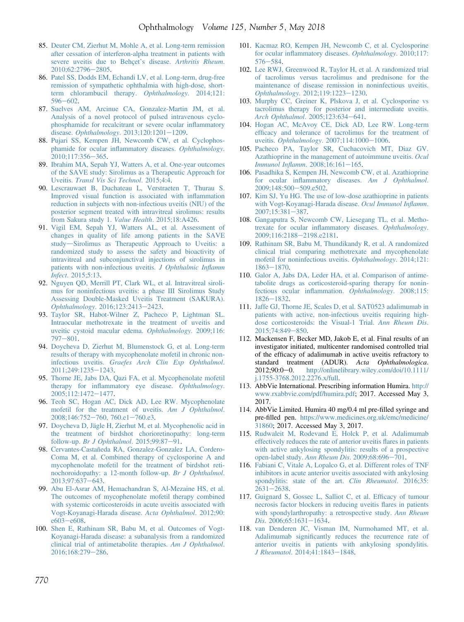- <span id="page-14-0"></span>85. [Deuter CM, Zierhut M, Mohle A, et al. Long-term remission](http://refhub.elsevier.com/S0161-6420(17)32446-6/sref85) [after cessation of interferon-alpha treatment in patients with](http://refhub.elsevier.com/S0161-6420(17)32446-6/sref85) [severe uveitis due to Behçet](http://refhub.elsevier.com/S0161-6420(17)32446-6/sref85)'s disease. Arthritis Rheum. [2010;62:2796](http://refhub.elsevier.com/S0161-6420(17)32446-6/sref85)-[2805.](http://refhub.elsevier.com/S0161-6420(17)32446-6/sref85)
- 86. [Patel SS, Dodds EM, Echandi LV, et al. Long-term, drug-free](http://refhub.elsevier.com/S0161-6420(17)32446-6/sref86) [remission of sympathetic ophthalmia with high-dose, short](http://refhub.elsevier.com/S0161-6420(17)32446-6/sref86)[term chlorambucil therapy.](http://refhub.elsevier.com/S0161-6420(17)32446-6/sref86) Ophthalmology. 2014;121: [596](http://refhub.elsevier.com/S0161-6420(17)32446-6/sref86)-[602.](http://refhub.elsevier.com/S0161-6420(17)32446-6/sref86)
- 87. [Suelves AM, Arcinue CA, Gonzalez-Martin JM, et al.](http://refhub.elsevier.com/S0161-6420(17)32446-6/sref87) [Analysis of a novel protocol of pulsed intravenous cyclo](http://refhub.elsevier.com/S0161-6420(17)32446-6/sref87)[phosphamide for recalcitrant or severe ocular in](http://refhub.elsevier.com/S0161-6420(17)32446-6/sref87)flammatory disease. Ophthalmology.  $2013;120:1201-1209$ .
- 88. [Pujari SS, Kempen JH, Newcomb CW, et al. Cyclophos](http://refhub.elsevier.com/S0161-6420(17)32446-6/sref88)[phamide for ocular in](http://refhub.elsevier.com/S0161-6420(17)32446-6/sref88)flammatory diseases. Ophthalmology. [2010;117:356](http://refhub.elsevier.com/S0161-6420(17)32446-6/sref88)-[365](http://refhub.elsevier.com/S0161-6420(17)32446-6/sref88).
- 89. [Ibrahim MA, Sepah YJ, Watters A, et al. One-year outcomes](http://refhub.elsevier.com/S0161-6420(17)32446-6/sref89) [of the SAVE study: Sirolimus as a Therapeutic Approach for](http://refhub.elsevier.com/S0161-6420(17)32446-6/sref89) Uveitis. [Transl Vis Sci Technol](http://refhub.elsevier.com/S0161-6420(17)32446-6/sref89). 2015;4:4.
- 90. [Lescrauwaet B, Duchateau L, Verstraeten T, Thurau S.](http://refhub.elsevier.com/S0161-6420(17)32446-6/sref90) [Improved visual function is associated with in](http://refhub.elsevier.com/S0161-6420(17)32446-6/sref90)flammation [reduction in subjects with non-infectious uveitis \(NIU\) of the](http://refhub.elsevier.com/S0161-6420(17)32446-6/sref90) [posterior segment treated with intravitreal sirolimus: results](http://refhub.elsevier.com/S0161-6420(17)32446-6/sref90) [from Sakura study 1.](http://refhub.elsevier.com/S0161-6420(17)32446-6/sref90) Value Health. 2015;18:A426.
- 91. [Vigil EM, Sepah YJ, Watters AL, et al. Assessment of](http://refhub.elsevier.com/S0161-6420(17)32446-6/sref91) [changes in quality of life among patients in the SAVE](http://refhub.elsevier.com/S0161-6420(17)32446-6/sref91) [study](http://refhub.elsevier.com/S0161-6420(17)32446-6/sref91)-[Sirolimus as Therapeutic Approach to Uveitis: a](http://refhub.elsevier.com/S0161-6420(17)32446-6/sref91) [randomized study to assess the safety and bioactivity of](http://refhub.elsevier.com/S0161-6420(17)32446-6/sref91) [intravitreal and subconjunctival injections of sirolimus in](http://refhub.elsevier.com/S0161-6420(17)32446-6/sref91) [patients with non-infectious uveitis.](http://refhub.elsevier.com/S0161-6420(17)32446-6/sref91) J Ophthalmic Inflamm Infect[. 2015;5:13.](http://refhub.elsevier.com/S0161-6420(17)32446-6/sref91)
- 92. [Nguyen QD, Merrill PT, Clark WL, et al. Intravitreal siroli](http://refhub.elsevier.com/S0161-6420(17)32446-6/sref92)[mus for noninfectious uveitis: a phase III Sirolimus Study](http://refhub.elsevier.com/S0161-6420(17)32446-6/sref92) [Assessing Double-Masked Uveitis Treatment \(SAKURA\).](http://refhub.elsevier.com/S0161-6420(17)32446-6/sref92) Ophthalmology[. 2016;123:2413](http://refhub.elsevier.com/S0161-6420(17)32446-6/sref92)-[2423.](http://refhub.elsevier.com/S0161-6420(17)32446-6/sref92)
- 93. [Taylor SR, Habot-Wilner Z, Pacheco P, Lightman SL.](http://refhub.elsevier.com/S0161-6420(17)32446-6/sref93) [Intraocular methotrexate in the treatment of uveitis and](http://refhub.elsevier.com/S0161-6420(17)32446-6/sref93) [uveitic cystoid macular edema.](http://refhub.elsevier.com/S0161-6420(17)32446-6/sref93) Ophthalmology. 2009;116:  $797 - 801$  $797 - 801$ .
- 94. [Doycheva D, Zierhut M, Blumenstock G, et al. Long-term](http://refhub.elsevier.com/S0161-6420(17)32446-6/sref94) [results of therapy with mycophenolate mofetil in chronic non](http://refhub.elsevier.com/S0161-6420(17)32446-6/sref94)infectious uveitis. [Graefes Arch Clin Exp Ophthalmol](http://refhub.elsevier.com/S0161-6420(17)32446-6/sref94). [2011;249:1235](http://refhub.elsevier.com/S0161-6420(17)32446-6/sref94)e[1243](http://refhub.elsevier.com/S0161-6420(17)32446-6/sref94).
- 95. [Thorne JE, Jabs DA, Qazi FA, et al. Mycophenolate mofetil](http://refhub.elsevier.com/S0161-6420(17)32446-6/sref95) therapy for infl[ammatory eye disease.](http://refhub.elsevier.com/S0161-6420(17)32446-6/sref95) Ophthalmology. [2005;112:1472](http://refhub.elsevier.com/S0161-6420(17)32446-6/sref95)-[1477](http://refhub.elsevier.com/S0161-6420(17)32446-6/sref95).
- 96. [Teoh SC, Hogan AC, Dick AD, Lee RW. Mycophenolate](http://refhub.elsevier.com/S0161-6420(17)32446-6/sref96) [mofetil for the treatment of uveitis.](http://refhub.elsevier.com/S0161-6420(17)32446-6/sref96) Am J Ophthalmol. [2008;146:752](http://refhub.elsevier.com/S0161-6420(17)32446-6/sref96)-[760, 760.e1](http://refhub.elsevier.com/S0161-6420(17)32446-6/sref96)-[760.e3](http://refhub.elsevier.com/S0161-6420(17)32446-6/sref96).
- 97. [Doycheva D, Jägle H, Zierhut M, et al. Mycophenolic acid in](http://refhub.elsevier.com/S0161-6420(17)32446-6/sref97) [the treatment of birdshot chorioretinopathy: long-term](http://refhub.elsevier.com/S0161-6420(17)32446-6/sref97) follow-up. [Br J Ophthalmol](http://refhub.elsevier.com/S0161-6420(17)32446-6/sref97).  $2015;99:87-91$  $2015;99:87-91$ .
- 98. [Cervantes-Castañeda RA, Gonzalez-Gonzalez LA, Cordero-](http://refhub.elsevier.com/S0161-6420(17)32446-6/sref98)[Coma M, et al. Combined therapy of cyclosporine A and](http://refhub.elsevier.com/S0161-6420(17)32446-6/sref98) [mycophenolate mofetil for the treatment of birdshot reti](http://refhub.elsevier.com/S0161-6420(17)32446-6/sref98)[nochoroidopathy: a 12-month follow-up.](http://refhub.elsevier.com/S0161-6420(17)32446-6/sref98) Br J Ophthalmol. [2013;97:637](http://refhub.elsevier.com/S0161-6420(17)32446-6/sref98)-[643.](http://refhub.elsevier.com/S0161-6420(17)32446-6/sref98)
- 99. [Abu El-Asrar AM, Hemachandran S, Al-Mezaine HS, et al.](http://refhub.elsevier.com/S0161-6420(17)32446-6/sref99) [The outcomes of mycophenolate mofetil therapy combined](http://refhub.elsevier.com/S0161-6420(17)32446-6/sref99) [with systemic corticosteroids in acute uveitis associated with](http://refhub.elsevier.com/S0161-6420(17)32446-6/sref99) [Vogt-Koyanagi-Harada disease.](http://refhub.elsevier.com/S0161-6420(17)32446-6/sref99) Acta Ophthalmol. 2012;90:  $e603 - e608.$  $e603 - e608.$  $e603 - e608.$
- 100. [Shen E, Rathinam SR, Babu M, et al. Outcomes of Vogt-](http://refhub.elsevier.com/S0161-6420(17)32446-6/sref100)[Koyanagi-Harada disease: a subanalysis from a randomized](http://refhub.elsevier.com/S0161-6420(17)32446-6/sref100) [clinical trial of antimetabolite therapies.](http://refhub.elsevier.com/S0161-6420(17)32446-6/sref100) Am J Ophthalmol. [2016;168:279](http://refhub.elsevier.com/S0161-6420(17)32446-6/sref100)-[286](http://refhub.elsevier.com/S0161-6420(17)32446-6/sref100).
- 101. [Kacmaz RO, Kempen JH, Newcomb C, et al. Cyclosporine](http://refhub.elsevier.com/S0161-6420(17)32446-6/sref101) for ocular infl[ammatory diseases.](http://refhub.elsevier.com/S0161-6420(17)32446-6/sref101) Ophthalmology. 2010;117:  $576 - 584.$  $576 - 584.$  $576 - 584.$  $576 - 584.$
- 102. [Lee RWJ, Greenwood R, Taylor H, et al. A randomized trial](http://refhub.elsevier.com/S0161-6420(17)32446-6/sref102) [of tacrolimus versus tacrolimus and prednisone for the](http://refhub.elsevier.com/S0161-6420(17)32446-6/sref102) [maintenance of disease remission in noninfectious uveitis.](http://refhub.elsevier.com/S0161-6420(17)32446-6/sref102) Ophthalmology[. 2012;119:1223](http://refhub.elsevier.com/S0161-6420(17)32446-6/sref102)-[1230.](http://refhub.elsevier.com/S0161-6420(17)32446-6/sref102)
- 103. [Murphy CC, Greiner K, Plskova J, et al. Cyclosporine vs](http://refhub.elsevier.com/S0161-6420(17)32446-6/sref103) [tacrolimus therapy for posterior and intermediate uveitis.](http://refhub.elsevier.com/S0161-6420(17)32446-6/sref103) [Arch Ophthalmol](http://refhub.elsevier.com/S0161-6420(17)32446-6/sref103). 2005;123:634-[641](http://refhub.elsevier.com/S0161-6420(17)32446-6/sref103).
- 104. [Hogan AC, McAvoy CE, Dick AD, Lee RW. Long-term](http://refhub.elsevier.com/S0161-6420(17)32446-6/sref104) effi[cacy and tolerance of tacrolimus for the treatment of](http://refhub.elsevier.com/S0161-6420(17)32446-6/sref104) uveitis. Ophthalmology[. 2007;114:1000](http://refhub.elsevier.com/S0161-6420(17)32446-6/sref104)-[1006.](http://refhub.elsevier.com/S0161-6420(17)32446-6/sref104)
- 105. [Pacheco PA, Taylor SR, Cuchacovich MT, Diaz GV.](http://refhub.elsevier.com/S0161-6420(17)32446-6/sref105) [Azathioprine in the management of autoimmune uveitis.](http://refhub.elsevier.com/S0161-6420(17)32446-6/sref105) Ocul Immunol Inflamm[. 2008;16:161](http://refhub.elsevier.com/S0161-6420(17)32446-6/sref105)-[165.](http://refhub.elsevier.com/S0161-6420(17)32446-6/sref105)
- 106. [Pasadhika S, Kempen JH, Newcomb CW, et al. Azathioprine](http://refhub.elsevier.com/S0161-6420(17)32446-6/sref106) for ocular infl[ammatory diseases.](http://refhub.elsevier.com/S0161-6420(17)32446-6/sref106) Am J Ophthalmol. [2009;148:500](http://refhub.elsevier.com/S0161-6420(17)32446-6/sref106)-[509.e502.](http://refhub.elsevier.com/S0161-6420(17)32446-6/sref106)
- 107. [Kim SJ, Yu HG. The use of low-dose azathioprine in patients](http://refhub.elsevier.com/S0161-6420(17)32446-6/sref107) [with Vogt-Koyanagi-Harada disease.](http://refhub.elsevier.com/S0161-6420(17)32446-6/sref107) Ocul Immunol Inflamm. [2007;15:381](http://refhub.elsevier.com/S0161-6420(17)32446-6/sref107)-[387.](http://refhub.elsevier.com/S0161-6420(17)32446-6/sref107)
- 108. [Gangaputra S, Newcomb CW, Liesegang TL, et al. Metho](http://refhub.elsevier.com/S0161-6420(17)32446-6/sref108)[trexate for ocular in](http://refhub.elsevier.com/S0161-6420(17)32446-6/sref108)flammatory diseases. Ophthalmology. [2009;116:2188](http://refhub.elsevier.com/S0161-6420(17)32446-6/sref108)-[2198.e2181](http://refhub.elsevier.com/S0161-6420(17)32446-6/sref108).
- 109. [Rathinam SR, Babu M, Thundikandy R, et al. A randomized](http://refhub.elsevier.com/S0161-6420(17)32446-6/sref109) [clinical trial comparing methotrexate and mycophenolate](http://refhub.elsevier.com/S0161-6420(17)32446-6/sref109) [mofetil for noninfectious uveitis.](http://refhub.elsevier.com/S0161-6420(17)32446-6/sref109) Ophthalmology. 2014;121: [1863](http://refhub.elsevier.com/S0161-6420(17)32446-6/sref109)e[1870](http://refhub.elsevier.com/S0161-6420(17)32446-6/sref109).
- 110. [Galor A, Jabs DA, Leder HA, et al. Comparison of antime](http://refhub.elsevier.com/S0161-6420(17)32446-6/sref110)[tabolite drugs as corticosteroid-sparing therapy for nonin](http://refhub.elsevier.com/S0161-6420(17)32446-6/sref110)[fectious ocular in](http://refhub.elsevier.com/S0161-6420(17)32446-6/sref110)flammation. Ophthalmology. 2008;115:  $1826 - 1832.$  $1826 - 1832.$  $1826 - 1832.$  $1826 - 1832.$
- 111. [Jaffe GJ, Thorne JE, Scales D, et al. SAT0523 adalimumab in](http://refhub.elsevier.com/S0161-6420(17)32446-6/sref111) [patients with active, non-infectious uveitis requiring high](http://refhub.elsevier.com/S0161-6420(17)32446-6/sref111)[dose corticosteroids: the Visual-1 Trial.](http://refhub.elsevier.com/S0161-6420(17)32446-6/sref111) Ann Rheum Dis.  $2015;74:849-850.$  $2015;74:849-850.$  $2015;74:849-850.$
- 112. Mackensen F, Becker MD, Jakob E, et al. Final results of an investigator initiated, multicenter randomised controlled trial of the efficacy of adalimumab in active uveitis refractory to standard treatment (ADUR). Acta Ophthalmologica. 2012;90:0-0. [http://onlinelibrary.wiley.com/doi/10.1111/](http://onlinelibrary.wiley.com/doi/10.1111/j.1755-3768.2012.2276.x/full) [j.1755-3768.2012.2276.x/full.](http://onlinelibrary.wiley.com/doi/10.1111/j.1755-3768.2012.2276.x/full)
- 113. AbbVie International. Prescribing information Humira. [http://](http://www.rxabbvie.com/pdf/humira.pdf) [www.rxabbvie.com/pdf/humira.pdf;](http://www.rxabbvie.com/pdf/humira.pdf) 2017. Accessed May 3, 2017.
- 114. AbbVie Limited. Humira 40 mg/0.4 ml pre-filled syringe and pre-filled pen. [https://www.medicines.org.uk/emc/medicine/](https://www.medicines.org.uk/emc/medicine/31860) [31860;](https://www.medicines.org.uk/emc/medicine/31860) 2017. Accessed May 3, 2017.
- 115. [Rudwaleit M, Rodevand E, Holck P, et al. Adalimumab](http://refhub.elsevier.com/S0161-6420(17)32446-6/sref115) [effectively reduces the rate of anterior uveitis](http://refhub.elsevier.com/S0161-6420(17)32446-6/sref115) flares in patients [with active ankylosing spondylitis: results of a prospective](http://refhub.elsevier.com/S0161-6420(17)32446-6/sref115) [open-label study.](http://refhub.elsevier.com/S0161-6420(17)32446-6/sref115) Ann Rheum Dis. 2009;68:696-[701.](http://refhub.elsevier.com/S0161-6420(17)32446-6/sref115)
- 116. [Fabiani C, Vitale A, Lopalco G, et al. Different roles of TNF](http://refhub.elsevier.com/S0161-6420(17)32446-6/sref116) [inhibitors in acute anterior uveitis associated with ankylosing](http://refhub.elsevier.com/S0161-6420(17)32446-6/sref116) [spondylitis: state of the art.](http://refhub.elsevier.com/S0161-6420(17)32446-6/sref116) Clin Rheumatol. 2016;35:  $2631 - 2638.$  $2631 - 2638.$  $2631 - 2638.$  $2631 - 2638.$
- 117. [Guignard S, Gossec L, Salliot C, et al. Ef](http://refhub.elsevier.com/S0161-6420(17)32446-6/sref117)ficacy of tumour [necrosis factor blockers in reducing uveitis](http://refhub.elsevier.com/S0161-6420(17)32446-6/sref117) flares in patients [with spondylarthropathy: a retrospective study.](http://refhub.elsevier.com/S0161-6420(17)32446-6/sref117) Ann Rheum  $Dis. 2006; 65:1631-1634.$  $Dis. 2006; 65:1631-1634.$  $Dis. 2006; 65:1631-1634.$
- 118. [van Denderen JC, Visman IM, Nurmohamed MT, et al.](http://refhub.elsevier.com/S0161-6420(17)32446-6/sref118) Adalimumab signifi[cantly reduces the recurrence rate of](http://refhub.elsevier.com/S0161-6420(17)32446-6/sref118) [anterior uveitis in patients with ankylosing spondylitis.](http://refhub.elsevier.com/S0161-6420(17)32446-6/sref118) J Rheumatol[. 2014;41:1843](http://refhub.elsevier.com/S0161-6420(17)32446-6/sref118)-[1848](http://refhub.elsevier.com/S0161-6420(17)32446-6/sref118).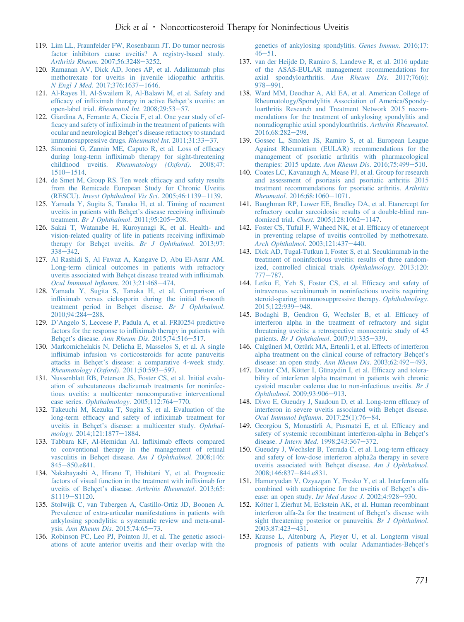- <span id="page-15-0"></span>119. [Lim LL, Fraunfelder FW, Rosenbaum JT. Do tumor necrosis](http://refhub.elsevier.com/S0161-6420(17)32446-6/sref119) [factor inhibitors cause uveitis? A registry-based study.](http://refhub.elsevier.com/S0161-6420(17)32446-6/sref119) [Arthritis Rheum](http://refhub.elsevier.com/S0161-6420(17)32446-6/sref119). 2007;56:3248-[3252.](http://refhub.elsevier.com/S0161-6420(17)32446-6/sref119)
- 120. [Ramanan AV, Dick AD, Jones AP, et al. Adalimumab plus](http://refhub.elsevier.com/S0161-6420(17)32446-6/sref120) [methotrexate for uveitis in juvenile idiopathic arthritis.](http://refhub.elsevier.com/S0161-6420(17)32446-6/sref120) N Engl J Med[. 2017;376:1637](http://refhub.elsevier.com/S0161-6420(17)32446-6/sref120)-[1646.](http://refhub.elsevier.com/S0161-6420(17)32446-6/sref120)
- 121. [Al-Rayes H, Al-Swailem R, Al-Balawi M, et al. Safety and](http://refhub.elsevier.com/S0161-6420(17)32446-6/sref121) efficacy of infl[iximab therapy in active Behçet](http://refhub.elsevier.com/S0161-6420(17)32446-6/sref121)'s uveitis: an [open-label trial.](http://refhub.elsevier.com/S0161-6420(17)32446-6/sref121) *Rheumatol Int.* 2008;29:53-[57](http://refhub.elsevier.com/S0161-6420(17)32446-6/sref121).
- 122. [Giardina A, Ferrante A, Ciccia F, et al. One year study of ef](http://refhub.elsevier.com/S0161-6420(17)32446-6/sref122)ficacy and safety of infl[iximab in the treatment of patients with](http://refhub.elsevier.com/S0161-6420(17)32446-6/sref122) [ocular and neurological Behçet](http://refhub.elsevier.com/S0161-6420(17)32446-6/sref122)'s disease refractory to standard [immunosuppressive drugs.](http://refhub.elsevier.com/S0161-6420(17)32446-6/sref122) Rheumatol Int.  $2011;31:33-37$ .
- 123. [Simonini G, Zannin ME, Caputo R, et al. Loss of ef](http://refhub.elsevier.com/S0161-6420(17)32446-6/sref123)ficacy during long-term infl[iximab therapy for sight-threatening](http://refhub.elsevier.com/S0161-6420(17)32446-6/sref123) childhood uveitis. [Rheumatology \(Oxford\)](http://refhub.elsevier.com/S0161-6420(17)32446-6/sref123). 2008;47:  $1510 - 1514.$  $1510 - 1514.$  $1510 - 1514.$
- 124. [de Smet M, Group RS. Ten week ef](http://refhub.elsevier.com/S0161-6420(17)32446-6/sref124)ficacy and safety results [from the Remicade European Study for Chronic Uveitis](http://refhub.elsevier.com/S0161-6420(17)32446-6/sref124) (RESCU). [Invest Ophthalmol Vis Sci](http://refhub.elsevier.com/S0161-6420(17)32446-6/sref124).  $2005;46:1139-1139$  $2005;46:1139-1139$  $2005;46:1139-1139$ .
- 125. [Yamada Y, Sugita S, Tanaka H, et al. Timing of recurrent](http://refhub.elsevier.com/S0161-6420(17)32446-6/sref125) [uveitis in patients with Behçet](http://refhub.elsevier.com/S0161-6420(17)32446-6/sref125)'s disease receiving infliximab treatment. [Br J Ophthalmol](http://refhub.elsevier.com/S0161-6420(17)32446-6/sref125).  $2011;95:205-208$ .
- 126. [Sakai T, Watanabe H, Kuroyanagi K, et al. Health- and](http://refhub.elsevier.com/S0161-6420(17)32446-6/sref126) [vision-related quality of life in patients receiving in](http://refhub.elsevier.com/S0161-6420(17)32446-6/sref126)fliximab [therapy for Behçet uveitis.](http://refhub.elsevier.com/S0161-6420(17)32446-6/sref126) Br J Ophthalmol. 2013;97: [338](http://refhub.elsevier.com/S0161-6420(17)32446-6/sref126)-[342](http://refhub.elsevier.com/S0161-6420(17)32446-6/sref126).
- 127. [Al Rashidi S, Al Fawaz A, Kangave D, Abu El-Asrar AM.](http://refhub.elsevier.com/S0161-6420(17)32446-6/sref127) [Long-term clinical outcomes in patients with refractory](http://refhub.elsevier.com/S0161-6420(17)32446-6/sref127) [uveitis associated with Behçet disease treated with in](http://refhub.elsevier.com/S0161-6420(17)32446-6/sref127)fliximab. [Ocul Immunol In](http://refhub.elsevier.com/S0161-6420(17)32446-6/sref127)flamm. 2013;21:468-[474](http://refhub.elsevier.com/S0161-6420(17)32446-6/sref127).
- 128. [Yamada Y, Sugita S, Tanaka H, et al. Comparison of](http://refhub.elsevier.com/S0161-6420(17)32446-6/sref128) infl[iximab versus ciclosporin during the initial 6-month](http://refhub.elsevier.com/S0161-6420(17)32446-6/sref128) [treatment period in Behçet disease.](http://refhub.elsevier.com/S0161-6420(17)32446-6/sref128) Br J Ophthalmol. [2010;94:284](http://refhub.elsevier.com/S0161-6420(17)32446-6/sref128)-[288.](http://refhub.elsevier.com/S0161-6420(17)32446-6/sref128)
- 129. D'[Angelo S, Leccese P, Padula A, et al. FRI0254 predictive](http://refhub.elsevier.com/S0161-6420(17)32446-6/sref129) factors for the response to infl[iximab therapy in patients with](http://refhub.elsevier.com/S0161-6420(17)32446-6/sref129) Behçet's disease. [Ann Rheum Dis](http://refhub.elsevier.com/S0161-6420(17)32446-6/sref129). 2015;74:516-[517](http://refhub.elsevier.com/S0161-6420(17)32446-6/sref129).
- 130. [Markomichelakis N, Delicha E, Masselos S, et al. A single](http://refhub.elsevier.com/S0161-6420(17)32446-6/sref130) infl[iximab infusion vs corticosteroids for acute panuveitis](http://refhub.elsevier.com/S0161-6420(17)32446-6/sref130) attacks in Behçet'[s disease: a comparative 4-week study.](http://refhub.elsevier.com/S0161-6420(17)32446-6/sref130) [Rheumatology \(Oxford\)](http://refhub.elsevier.com/S0161-6420(17)32446-6/sref130).  $2011;50:593-597$  $2011;50:593-597$ .
- 131. [Nussenblatt RB, Peterson JS, Foster CS, et al. Initial evalu](http://refhub.elsevier.com/S0161-6420(17)32446-6/sref131)[ation of subcutaneous daclizumab treatments for noninfec](http://refhub.elsevier.com/S0161-6420(17)32446-6/sref131)[tious uveitis: a multicenter noncomparative interventional](http://refhub.elsevier.com/S0161-6420(17)32446-6/sref131) case series.  $Ophthalmology$ . 2005;112:764-[770](http://refhub.elsevier.com/S0161-6420(17)32446-6/sref131).
- 132. [Takeuchi M, Kezuka T, Sugita S, et al. Evaluation of the](http://refhub.elsevier.com/S0161-6420(17)32446-6/sref132) long-term effi[cacy and safety of in](http://refhub.elsevier.com/S0161-6420(17)32446-6/sref132)fliximab treatment for uveitis in Behçet'[s disease: a multicenter study.](http://refhub.elsevier.com/S0161-6420(17)32446-6/sref132) Ophthal-mology[. 2014;121:1877](http://refhub.elsevier.com/S0161-6420(17)32446-6/sref132)-[1884.](http://refhub.elsevier.com/S0161-6420(17)32446-6/sref132)
- 133. [Tabbara KF, Al-Hemidan AI. In](http://refhub.elsevier.com/S0161-6420(17)32446-6/sref133)fliximab effects compared [to conventional therapy in the management of retinal](http://refhub.elsevier.com/S0161-6420(17)32446-6/sref133) [vasculitis in Behçet disease.](http://refhub.elsevier.com/S0161-6420(17)32446-6/sref133) Am J Ophthalmol. 2008;146: [845](http://refhub.elsevier.com/S0161-6420(17)32446-6/sref133)-[850.e841.](http://refhub.elsevier.com/S0161-6420(17)32446-6/sref133)
- 134. [Nakabayashi A, Hirano T, Hishitani Y, et al. Prognostic](http://refhub.elsevier.com/S0161-6420(17)32446-6/sref134) [factors of visual function in the treatment with in](http://refhub.elsevier.com/S0161-6420(17)32446-6/sref134)fliximab for uveitis of Behçet's disease. [Arthritis Rheumatol](http://refhub.elsevier.com/S0161-6420(17)32446-6/sref134). 2013;65: [S1119](http://refhub.elsevier.com/S0161-6420(17)32446-6/sref134)-[S1120.](http://refhub.elsevier.com/S0161-6420(17)32446-6/sref134)
- 135. [Stolwijk C, van Tubergen A, Castillo-Ortiz JD, Boonen A.](http://refhub.elsevier.com/S0161-6420(17)32446-6/sref135) [Prevalence of extra-articular manifestations in patients with](http://refhub.elsevier.com/S0161-6420(17)32446-6/sref135) [ankylosing spondylitis: a systematic review and meta-anal-](http://refhub.elsevier.com/S0161-6420(17)32446-6/sref135)ysis. [Ann Rheum Dis](http://refhub.elsevier.com/S0161-6420(17)32446-6/sref135).  $2015;74:65-73$  $2015;74:65-73$ .
- 136. [Robinson PC, Leo PJ, Pointon JJ, et al. The genetic associ](http://refhub.elsevier.com/S0161-6420(17)32446-6/sref136)[ations of acute anterior uveitis and their overlap with the](http://refhub.elsevier.com/S0161-6420(17)32446-6/sref136)

[genetics of ankylosing spondylitis.](http://refhub.elsevier.com/S0161-6420(17)32446-6/sref136) Genes Immun. 2016;17:  $46 - 51$  $46 - 51$  $46 - 51$ .

- 137. [van der Heijde D, Ramiro S, Landewe R, et al. 2016 update](http://refhub.elsevier.com/S0161-6420(17)32446-6/sref137) [of the ASAS-EULAR management recommendations for](http://refhub.elsevier.com/S0161-6420(17)32446-6/sref137) [axial spondyloarthritis.](http://refhub.elsevier.com/S0161-6420(17)32446-6/sref137) Ann Rheum Dis. 2017;76(6): [978](http://refhub.elsevier.com/S0161-6420(17)32446-6/sref137)-[991](http://refhub.elsevier.com/S0161-6420(17)32446-6/sref137).
- 138. [Ward MM, Deodhar A, Akl EA, et al. American College of](http://refhub.elsevier.com/S0161-6420(17)32446-6/sref138) [Rheumatology/Spondylitis Association of America/Spondy](http://refhub.elsevier.com/S0161-6420(17)32446-6/sref138)[loarthritis Research and Treatment Network 2015 recom](http://refhub.elsevier.com/S0161-6420(17)32446-6/sref138)[mendations for the treatment of ankylosing spondylitis and](http://refhub.elsevier.com/S0161-6420(17)32446-6/sref138) [nonradiographic axial spondyloarthritis.](http://refhub.elsevier.com/S0161-6420(17)32446-6/sref138) Arthritis Rheumatol. [2016;68:282](http://refhub.elsevier.com/S0161-6420(17)32446-6/sref138)-[298.](http://refhub.elsevier.com/S0161-6420(17)32446-6/sref138)
- 139. [Gossec L, Smolen JS, Ramiro S, et al. European League](http://refhub.elsevier.com/S0161-6420(17)32446-6/sref139) [Against Rheumatism \(EULAR\) recommendations for the](http://refhub.elsevier.com/S0161-6420(17)32446-6/sref139) [management of psoriatic arthritis with pharmacological](http://refhub.elsevier.com/S0161-6420(17)32446-6/sref139) therapies:  $2015$  update. Ann Rheum Dis.  $2016;75:499-510$  $2016;75:499-510$ .
- 140. [Coates LC, Kavanaugh A, Mease PJ, et al. Group for research](http://refhub.elsevier.com/S0161-6420(17)32446-6/sref140) [and assessment of psoriasis and psoriatic arthritis 2015](http://refhub.elsevier.com/S0161-6420(17)32446-6/sref140) [treatment recommendations for psoriatic arthritis.](http://refhub.elsevier.com/S0161-6420(17)32446-6/sref140) Arthritis  $Rheumatol. 2016;68:1060-1071.$  $Rheumatol. 2016;68:1060-1071.$  $Rheumatol. 2016;68:1060-1071.$  $Rheumatol. 2016;68:1060-1071.$
- 141. [Baughman RP, Lower EE, Bradley DA, et al. Etanercept for](http://refhub.elsevier.com/S0161-6420(17)32446-6/sref141) [refractory ocular sarcoidosis: results of a double-blind ran-](http://refhub.elsevier.com/S0161-6420(17)32446-6/sref141)domized trial. Chest[. 2005;128:1062](http://refhub.elsevier.com/S0161-6420(17)32446-6/sref141)-[1147.](http://refhub.elsevier.com/S0161-6420(17)32446-6/sref141)
- 142. [Foster CS, Tufail F, Waheed NK, et al. Ef](http://refhub.elsevier.com/S0161-6420(17)32446-6/sref142)ficacy of etanercept [in preventing relapse of uveitis controlled by methotrexate.](http://refhub.elsevier.com/S0161-6420(17)32446-6/sref142) [Arch Ophthalmol](http://refhub.elsevier.com/S0161-6420(17)32446-6/sref142). 2003;121:437-[440](http://refhub.elsevier.com/S0161-6420(17)32446-6/sref142).
- 143. [Dick AD, Tugal-Tutkun I, Foster S, et al. Secukinumab in the](http://refhub.elsevier.com/S0161-6420(17)32446-6/sref143) [treatment of noninfectious uveitis: results of three random](http://refhub.elsevier.com/S0161-6420(17)32446-6/sref143)[ized, controlled clinical trials.](http://refhub.elsevier.com/S0161-6420(17)32446-6/sref143) Ophthalmology. 2013;120: [777](http://refhub.elsevier.com/S0161-6420(17)32446-6/sref143)-[787](http://refhub.elsevier.com/S0161-6420(17)32446-6/sref143).
- 144. [Letko E, Yeh S, Foster CS, et al. Ef](http://refhub.elsevier.com/S0161-6420(17)32446-6/sref144)ficacy and safety of [intravenous secukinumab in noninfectious uveitis requiring](http://refhub.elsevier.com/S0161-6420(17)32446-6/sref144) [steroid-sparing immunosuppressive therapy.](http://refhub.elsevier.com/S0161-6420(17)32446-6/sref144) Ophthalmology. [2015;122:939](http://refhub.elsevier.com/S0161-6420(17)32446-6/sref144)-[948](http://refhub.elsevier.com/S0161-6420(17)32446-6/sref144).
- 145. [Bodaghi B, Gendron G, Wechsler B, et al. Ef](http://refhub.elsevier.com/S0161-6420(17)32446-6/sref145)ficacy of [interferon alpha in the treatment of refractory and sight](http://refhub.elsevier.com/S0161-6420(17)32446-6/sref145) [threatening uveitis: a retrospective monocentric study of 45](http://refhub.elsevier.com/S0161-6420(17)32446-6/sref145) patients. [Br J Ophthalmol](http://refhub.elsevier.com/S0161-6420(17)32446-6/sref145). 2007;91:335-[339](http://refhub.elsevier.com/S0161-6420(17)32446-6/sref145).
- 146. [Calgüneri M, Oztürk MA, Ertenli I, et al. Effects of interferon](http://refhub.elsevier.com/S0161-6420(17)32446-6/sref146) [alpha treatment on the clinical course of refractory Behçet](http://refhub.elsevier.com/S0161-6420(17)32446-6/sref146)'s [disease: an open study.](http://refhub.elsevier.com/S0161-6420(17)32446-6/sref146) Ann Rheum Dis.  $2003;62:492-493$ .
- 147. [Deuter CM, Kötter I, Günaydin I, et al. Ef](http://refhub.elsevier.com/S0161-6420(17)32446-6/sref147)ficacy and tolera[bility of interferon alpha treatment in patients with chronic](http://refhub.elsevier.com/S0161-6420(17)32446-6/sref147) [cystoid macular oedema due to non-infectious uveitis.](http://refhub.elsevier.com/S0161-6420(17)32446-6/sref147) Br J Ophthalmol[. 2009;93:906](http://refhub.elsevier.com/S0161-6420(17)32446-6/sref147)-[913.](http://refhub.elsevier.com/S0161-6420(17)32446-6/sref147)
- 148. [Diwo E, Gueudry J, Saadoun D, et al. Long-term ef](http://refhub.elsevier.com/S0161-6420(17)32446-6/sref148)ficacy of [interferon in severe uveitis associated with Behçet disease.](http://refhub.elsevier.com/S0161-6420(17)32446-6/sref148) [Ocul Immunol In](http://refhub.elsevier.com/S0161-6420(17)32446-6/sref148)flamm. 2017;25(1):76-[84](http://refhub.elsevier.com/S0161-6420(17)32446-6/sref148).
- 149. [Georgiou S, Monastirli A, Pasmatzi E, et al. Ef](http://refhub.elsevier.com/S0161-6420(17)32446-6/sref149)ficacy and [safety of systemic recombinant interferon-alpha in Behçet](http://refhub.elsevier.com/S0161-6420(17)32446-6/sref149)'s disease. *J Intern Med.* 1998;243:367-[372.](http://refhub.elsevier.com/S0161-6420(17)32446-6/sref149)
- 150. [Gueudry J, Wechsler B, Terrada C, et al. Long-term ef](http://refhub.elsevier.com/S0161-6420(17)32446-6/sref150)ficacy [and safety of low-dose interferon alpha2a therapy in severe](http://refhub.elsevier.com/S0161-6420(17)32446-6/sref150) [uveitis associated with Behçet disease.](http://refhub.elsevier.com/S0161-6420(17)32446-6/sref150) Am J Ophthalmol. [2008;146:837](http://refhub.elsevier.com/S0161-6420(17)32446-6/sref150)-[844.e831.](http://refhub.elsevier.com/S0161-6420(17)32446-6/sref150)
- 151. [Hamuryudan V, Ozyazgan Y, Fresko Y, et al. Interferon alfa](http://refhub.elsevier.com/S0161-6420(17)32446-6/sref151) [combined with azathioprine for the uveitis of Behçet](http://refhub.elsevier.com/S0161-6420(17)32446-6/sref151)'s dis[ease: an open study.](http://refhub.elsevier.com/S0161-6420(17)32446-6/sref151) Isr Med Assoc J. 2002;4:928-[930](http://refhub.elsevier.com/S0161-6420(17)32446-6/sref151).
- 152. [Kötter I, Zierhut M, Eckstein AK, et al. Human recombinant](http://refhub.elsevier.com/S0161-6420(17)32446-6/sref152) [interferon alfa-2a for the treatment of Behçet](http://refhub.elsevier.com/S0161-6420(17)32446-6/sref152)'s disease with [sight threatening posterior or panuveitis.](http://refhub.elsevier.com/S0161-6420(17)32446-6/sref152) Br J Ophthalmol. [2003;87:423](http://refhub.elsevier.com/S0161-6420(17)32446-6/sref152)-[431.](http://refhub.elsevier.com/S0161-6420(17)32446-6/sref152)
- 153. [Krause L, Altenburg A, Pleyer U, et al. Longterm visual](http://refhub.elsevier.com/S0161-6420(17)32446-6/sref153) [prognosis of patients with ocular Adamantiades-Behçet](http://refhub.elsevier.com/S0161-6420(17)32446-6/sref153)'s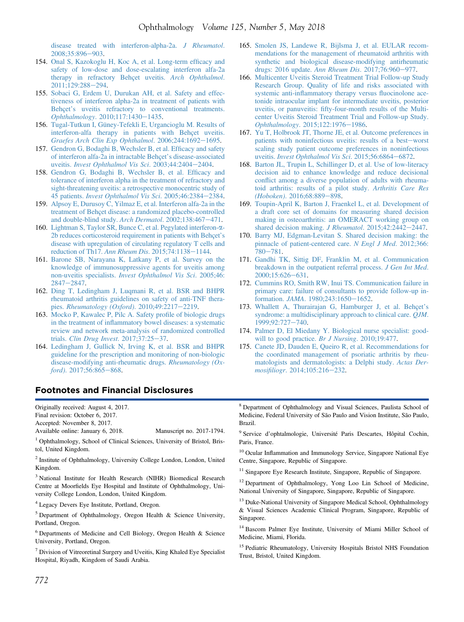<span id="page-16-0"></span>[disease treated with interferon-alpha-2a.](http://refhub.elsevier.com/S0161-6420(17)32446-6/sref153) J Rheumatol. [2008;35:896](http://refhub.elsevier.com/S0161-6420(17)32446-6/sref153)-[903.](http://refhub.elsevier.com/S0161-6420(17)32446-6/sref153)

- 154. [Onal S, Kazokoglu H, Koc A, et al. Long-term ef](http://refhub.elsevier.com/S0161-6420(17)32446-6/sref154)ficacy and [safety of low-dose and dose-escalating interferon alfa-2a](http://refhub.elsevier.com/S0161-6420(17)32446-6/sref154) [therapy in refractory Behçet uveitis.](http://refhub.elsevier.com/S0161-6420(17)32446-6/sref154) Arch Ophthalmol. 2011:129:288-[294](http://refhub.elsevier.com/S0161-6420(17)32446-6/sref154).
- 155. [Sobaci G, Erdem U, Durukan AH, et al. Safety and effec](http://refhub.elsevier.com/S0161-6420(17)32446-6/sref155)[tiveness of interferon alpha-2a in treatment of patients with](http://refhub.elsevier.com/S0161-6420(17)32446-6/sref155) Behçet'[s uveitis refractory to conventional treatments.](http://refhub.elsevier.com/S0161-6420(17)32446-6/sref155) Ophthalmology[. 2010;117:1430](http://refhub.elsevier.com/S0161-6420(17)32446-6/sref155)-[1435.](http://refhub.elsevier.com/S0161-6420(17)32446-6/sref155)
- 156. [Tugal-Tutkun I, Güney-Tefekli E, Urgancioglu M. Results of](http://refhub.elsevier.com/S0161-6420(17)32446-6/sref156) [interferon-alfa therapy in patients with Behçet uveitis.](http://refhub.elsevier.com/S0161-6420(17)32446-6/sref156)<br>[Graefes Arch Clin Exp Ophthalmol](http://refhub.elsevier.com/S0161-6420(17)32446-6/sref156). 2006;244:1692–[1695](http://refhub.elsevier.com/S0161-6420(17)32446-6/sref156).
- 157. [Gendron G, Bodaghi B, Wechsler B, et al. Ef](http://refhub.elsevier.com/S0161-6420(17)32446-6/sref157)ficacy and safety [of interferon alfa-2a in intractable Behçet](http://refhub.elsevier.com/S0161-6420(17)32446-6/sref157)'s disease-associated uveitis. [Invest Ophthalmol Vis Sci](http://refhub.elsevier.com/S0161-6420(17)32446-6/sref157). 2003;44:[2404](http://refhub.elsevier.com/S0161-6420(17)32446-6/sref157)-2404.
- 158. [Gendron G, Bodaghi B, Wechsler B, et al. Ef](http://refhub.elsevier.com/S0161-6420(17)32446-6/sref158)ficacy and [tolerance of interferon alpha in the treatment of refractory and](http://refhub.elsevier.com/S0161-6420(17)32446-6/sref158) [sight-threatening uveitis: a retrospective monocentric study of](http://refhub.elsevier.com/S0161-6420(17)32446-6/sref158) 45 patients. [Invest Ophthalmol Vis Sci](http://refhub.elsevier.com/S0161-6420(17)32446-6/sref158). 2005;46:[2384](http://refhub.elsevier.com/S0161-6420(17)32446-6/sref158)-2384.
- 159. [Alpsoy E, Durusoy C, Yilmaz E, et al. Interferon alfa-2a in the](http://refhub.elsevier.com/S0161-6420(17)32446-6/sref159) [treatment of Behçet disease: a randomized placebo-controlled](http://refhub.elsevier.com/S0161-6420(17)32446-6/sref159) [and double-blind study.](http://refhub.elsevier.com/S0161-6420(17)32446-6/sref159) Arch Dermatol. 2002;138:467-[471.](http://refhub.elsevier.com/S0161-6420(17)32446-6/sref159)
- 160. [Lightman S, Taylor SR, Bunce C, et al. Pegylated interferon-](http://refhub.elsevier.com/S0161-6420(17)32446-6/sref160)a-[2b reduces corticosteroid requirement in patients with Behçet](http://refhub.elsevier.com/S0161-6420(17)32446-6/sref160)'s [disease with upregulation of circulating regulatory T cells and](http://refhub.elsevier.com/S0161-6420(17)32446-6/sref160) [reduction of Th17.](http://refhub.elsevier.com/S0161-6420(17)32446-6/sref160) Ann Rheum Dis. 2015;74:1138-[1144](http://refhub.elsevier.com/S0161-6420(17)32446-6/sref160).
- 161. [Barone SB, Narayana K, Latkany P, et al. Survey on the](http://refhub.elsevier.com/S0161-6420(17)32446-6/sref161) [knowledge of immunosuppressive agents for uveitis among](http://refhub.elsevier.com/S0161-6420(17)32446-6/sref161) non-uveitis specialists. [Invest Ophthalmol Vis Sci](http://refhub.elsevier.com/S0161-6420(17)32446-6/sref161). 2005;46:  $2847 - 2847.$  $2847 - 2847.$  $2847 - 2847.$
- 162. [Ding T, Ledingham J, Luqmani R, et al. BSR and BHPR](http://refhub.elsevier.com/S0161-6420(17)32446-6/sref162) [rheumatoid arthritis guidelines on safety of anti-TNF thera-](http://refhub.elsevier.com/S0161-6420(17)32446-6/sref162)pies. [Rheumatology \(Oxford\)](http://refhub.elsevier.com/S0161-6420(17)32446-6/sref162). 2010;49:2217-[2219.](http://refhub.elsevier.com/S0161-6420(17)32446-6/sref162)
- 163. [Mocko P, Kawalec P, Pilc A. Safety pro](http://refhub.elsevier.com/S0161-6420(17)32446-6/sref163)file of biologic drugs in the treatment of infl[ammatory bowel diseases: a systematic](http://refhub.elsevier.com/S0161-6420(17)32446-6/sref163) [review and network meta-analysis of randomized controlled](http://refhub.elsevier.com/S0161-6420(17)32446-6/sref163) trials. [Clin Drug Invest](http://refhub.elsevier.com/S0161-6420(17)32446-6/sref163).  $2017;37:25-37$ .
- 164. [Ledingham J, Gullick N, Irving K, et al. BSR and BHPR](http://refhub.elsevier.com/S0161-6420(17)32446-6/sref164) [guideline for the prescription and monitoring of non-biologic](http://refhub.elsevier.com/S0161-6420(17)32446-6/sref164) [disease-modifying anti-rheumatic drugs.](http://refhub.elsevier.com/S0161-6420(17)32446-6/sref164) Rheumatology (Ox $ford$ )[. 2017;56:865](http://refhub.elsevier.com/S0161-6420(17)32446-6/sref164)-[868.](http://refhub.elsevier.com/S0161-6420(17)32446-6/sref164)
- 165. [Smolen JS, Landewe R, Bijlsma J, et al. EULAR recom](http://refhub.elsevier.com/S0161-6420(17)32446-6/sref165)[mendations for the management of rheumatoid arthritis with](http://refhub.elsevier.com/S0161-6420(17)32446-6/sref165) [synthetic and biological disease-modifying antirheumatic](http://refhub.elsevier.com/S0161-6420(17)32446-6/sref165) [drugs: 2016 update.](http://refhub.elsevier.com/S0161-6420(17)32446-6/sref165) Ann Rheum Dis. 2017;76:960-[977](http://refhub.elsevier.com/S0161-6420(17)32446-6/sref165).
- 166. [Multicenter Uveitis Steroid Treatment Trial Follow-up Study](http://refhub.elsevier.com/S0161-6420(17)32446-6/sref166) [Research Group. Quality of life and risks associated with](http://refhub.elsevier.com/S0161-6420(17)32446-6/sref166) systemic anti-infl[ammatory therapy versus](http://refhub.elsevier.com/S0161-6420(17)32446-6/sref166) fluocinolone ace[tonide intraocular implant for intermediate uveitis, posterior](http://refhub.elsevier.com/S0161-6420(17)32446-6/sref166) uveitis, or panuveitis: fi[fty-four-month results of the Multi](http://refhub.elsevier.com/S0161-6420(17)32446-6/sref166)[center Uveitis Steroid Treatment Trial and Follow-up Study.](http://refhub.elsevier.com/S0161-6420(17)32446-6/sref166) Ophthalmology[. 2015;122:1976](http://refhub.elsevier.com/S0161-6420(17)32446-6/sref166)-[1986.](http://refhub.elsevier.com/S0161-6420(17)32446-6/sref166)
- 167. [Yu T, Holbrook JT, Thorne JE, et al. Outcome preferences in](http://refhub.elsevier.com/S0161-6420(17)32446-6/sref167) [patients with noninfectious uveitis: results of a best](http://refhub.elsevier.com/S0161-6420(17)32446-6/sref167)-[worst](http://refhub.elsevier.com/S0161-6420(17)32446-6/sref167) [scaling study patient outcome preferences in noninfectious](http://refhub.elsevier.com/S0161-6420(17)32446-6/sref167) uveitis. [Invest Ophthalmol Vis Sci](http://refhub.elsevier.com/S0161-6420(17)32446-6/sref167). 2015;56:6864-[6872.](http://refhub.elsevier.com/S0161-6420(17)32446-6/sref167)
- 168. [Barton JL, Trupin L, Schillinger D, et al. Use of low-literacy](http://refhub.elsevier.com/S0161-6420(17)32446-6/sref168) [decision aid to enhance knowledge and reduce decisional](http://refhub.elsevier.com/S0161-6420(17)32446-6/sref168) confl[ict among a diverse population of adults with rheuma](http://refhub.elsevier.com/S0161-6420(17)32446-6/sref168)[toid arthritis: results of a pilot study.](http://refhub.elsevier.com/S0161-6420(17)32446-6/sref168) Arthritis Care Res (Hoboken)[. 2016;68:889](http://refhub.elsevier.com/S0161-6420(17)32446-6/sref168)-[898](http://refhub.elsevier.com/S0161-6420(17)32446-6/sref168).
- 169. [Toupin-April K, Barton J, Fraenkel L, et al. Development of](http://refhub.elsevier.com/S0161-6420(17)32446-6/sref169) [a draft core set of domains for measuring shared decision](http://refhub.elsevier.com/S0161-6420(17)32446-6/sref169) [making in osteoarthritis: an OMERACT working group on](http://refhub.elsevier.com/S0161-6420(17)32446-6/sref169) [shared decision making.](http://refhub.elsevier.com/S0161-6420(17)32446-6/sref169) J Rheumatol. 2015;42:2442-[2447.](http://refhub.elsevier.com/S0161-6420(17)32446-6/sref169)
- 170. [Barry MJ, Edgman-Levitan S. Shared decision making: the](http://refhub.elsevier.com/S0161-6420(17)32446-6/sref170) [pinnacle of patient-centered care.](http://refhub.elsevier.com/S0161-6420(17)32446-6/sref170) N Engl J Med. 2012;366: [780](http://refhub.elsevier.com/S0161-6420(17)32446-6/sref170)-[781](http://refhub.elsevier.com/S0161-6420(17)32446-6/sref170).
- 171. [Gandhi TK, Sittig DF, Franklin M, et al. Communication](http://refhub.elsevier.com/S0161-6420(17)32446-6/sref171) [breakdown in the outpatient referral process.](http://refhub.elsevier.com/S0161-6420(17)32446-6/sref171) J Gen Int Med. [2000;15:626](http://refhub.elsevier.com/S0161-6420(17)32446-6/sref171)-[631.](http://refhub.elsevier.com/S0161-6420(17)32446-6/sref171)
- 172. [Cummins RO, Smith RW, Inui TS. Communication failure in](http://refhub.elsevier.com/S0161-6420(17)32446-6/sref172) [primary care: failure of consultants to provide follow-up in-](http://refhub.elsevier.com/S0161-6420(17)32446-6/sref172)formation. JAMA[. 1980;243:1650](http://refhub.elsevier.com/S0161-6420(17)32446-6/sref172)-[1652.](http://refhub.elsevier.com/S0161-6420(17)32446-6/sref172)
- 173. [Whallett A, Thurairajan G, Hamburger J, et al. Behçet](http://refhub.elsevier.com/S0161-6420(17)32446-6/sref173)'s [syndrome: a multidisciplinary approach to clinical care.](http://refhub.elsevier.com/S0161-6420(17)32446-6/sref173) *QJM*. [1999;92:727](http://refhub.elsevier.com/S0161-6420(17)32446-6/sref173)-[740.](http://refhub.elsevier.com/S0161-6420(17)32446-6/sref173)
- 174. [Palmer D, El Miedany Y. Biological nurse specialist: good](http://refhub.elsevier.com/S0161-6420(17)32446-6/sref174)[will to good practice.](http://refhub.elsevier.com/S0161-6420(17)32446-6/sref174) Br J Nursing. 2010;19:477.
- 175. [Canete JD, Dauden E, Queiro R, et al. Recommendations for](http://refhub.elsevier.com/S0161-6420(17)32446-6/sref175) [the coordinated management of psoriatic arthritis by rheu](http://refhub.elsevier.com/S0161-6420(17)32446-6/sref175)[matologists and dermatologists: a Delphi study.](http://refhub.elsevier.com/S0161-6420(17)32446-6/sref175) Actas Der-mosifiliogr[. 2014;105:216](http://refhub.elsevier.com/S0161-6420(17)32446-6/sref175)-[232](http://refhub.elsevier.com/S0161-6420(17)32446-6/sref175).

### Footnotes and Financial Disclosures

Originally received: August 4, 2017. Final revision: October 6, 2017.

Accepted: November 8, 2017.

Available online: January 6, 2018. Manuscript no. 2017-1794.

<sup>1</sup> Ophthalmology, School of Clinical Sciences, University of Bristol, Bristol, United Kingdom.

<sup>2</sup> Institute of Ophthalmology, University College London, London, United Kingdom.

<sup>3</sup> National Institute for Health Research (NIHR) Biomedical Research Centre at Moorfields Eye Hospital and Institute of Ophthalmology, University College London, London, United Kingdom.

<sup>4</sup> Legacy Devers Eye Institute, Portland, Oregon.

<sup>5</sup> Department of Ophthalmology, Oregon Health & Science University, Portland, Oregon.

<sup>6</sup> Departments of Medicine and Cell Biology, Oregon Health & Science University, Portland, Oregon.

 $<sup>7</sup>$  Division of Vitreoretinal Surgery and Uveitis, King Khaled Eye Specialist</sup> Hospital, Riyadh, Kingdom of Saudi Arabia.

<sup>8</sup> Department of Ophthalmology and Visual Sciences, Paulista School of Medicine, Federal University of São Paulo and Vision Institute, São Paulo, Brazil.

<sup>9</sup> Service d'ophtalmologie, Université Paris Descartes, Hôpital Cochin, Paris, France.

<sup>10</sup> Ocular Inflammation and Immunology Service, Singapore National Eye Centre, Singapore, Republic of Singapore.

<sup>11</sup> Singapore Eye Research Institute, Singapore, Republic of Singapore.

<sup>12</sup> Department of Ophthalmology, Yong Loo Lin School of Medicine, National University of Singapore, Singapore, Republic of Singapore.

<sup>13</sup> Duke-National University of Singapore Medical School, Ophthalmology & Visual Sciences Academic Clinical Program, Singapore, Republic of Singapore.

<sup>14</sup> Bascom Palmer Eye Institute, University of Miami Miller School of Medicine, Miami, Florida.

<sup>15</sup> Pediatric Rheumatology, University Hospitals Bristol NHS Foundation Trust, Bristol, United Kingdom.